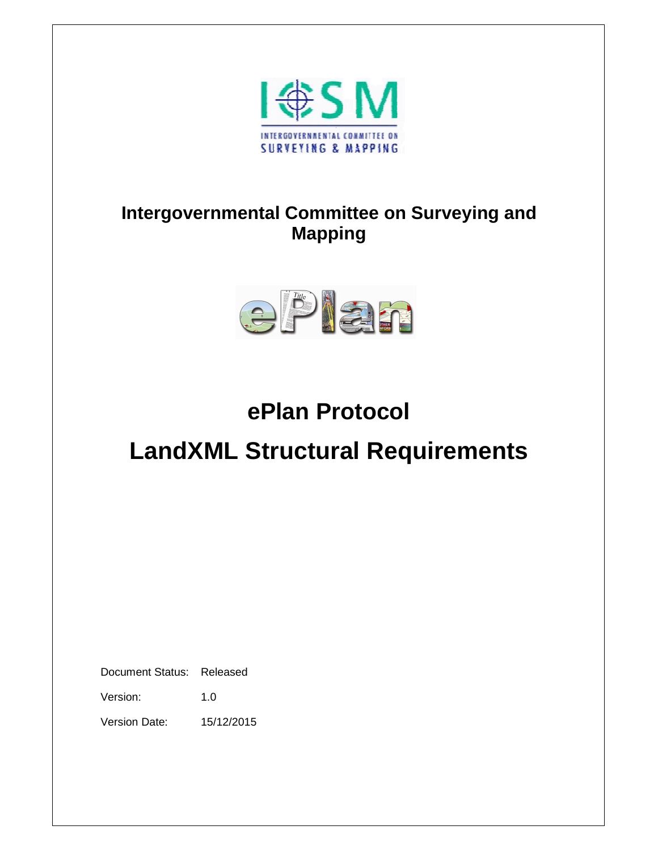

## **Intergovernmental Committee on Surveying and Mapping**



# **ePlan Protocol**

# **LandXML Structural Requirements**

Document Status: Released

Version: 1.0

Version Date: 15/12/2015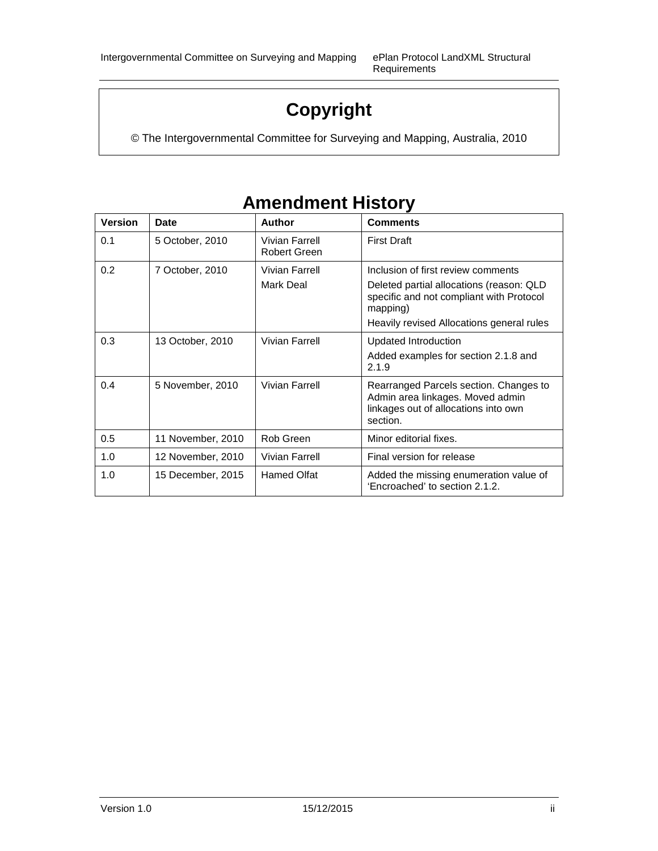Requirements

## **Copyright**

© The Intergovernmental Committee for Surveying and Mapping, Australia, 2010

| <b>Version</b> | Date              | <b>Author</b>                         | <b>Comments</b>                                                                                                                |
|----------------|-------------------|---------------------------------------|--------------------------------------------------------------------------------------------------------------------------------|
| 0.1            | 5 October, 2010   | Vivian Farrell<br><b>Robert Green</b> | <b>First Draft</b>                                                                                                             |
| 0.2            | 7 October, 2010   | Vivian Farrell                        | Inclusion of first review comments                                                                                             |
|                |                   | Mark Deal                             | Deleted partial allocations (reason: QLD<br>specific and not compliant with Protocol<br>mapping)                               |
|                |                   |                                       | Heavily revised Allocations general rules                                                                                      |
| 0.3            | 13 October, 2010  | Vivian Farrell                        | <b>Updated Introduction</b>                                                                                                    |
|                |                   |                                       | Added examples for section 2.1.8 and<br>2.1.9                                                                                  |
| 0.4            | 5 November, 2010  | Vivian Farrell                        | Rearranged Parcels section. Changes to<br>Admin area linkages. Moved admin<br>linkages out of allocations into own<br>section. |
| 0.5            | 11 November, 2010 | Rob Green                             | Minor editorial fixes.                                                                                                         |
| 1.0            | 12 November, 2010 | Vivian Farrell                        | Final version for release                                                                                                      |
| 1.0            | 15 December, 2015 | <b>Hamed Olfat</b>                    | Added the missing enumeration value of<br>'Encroached' to section 2.1.2.                                                       |

## **Amendment History**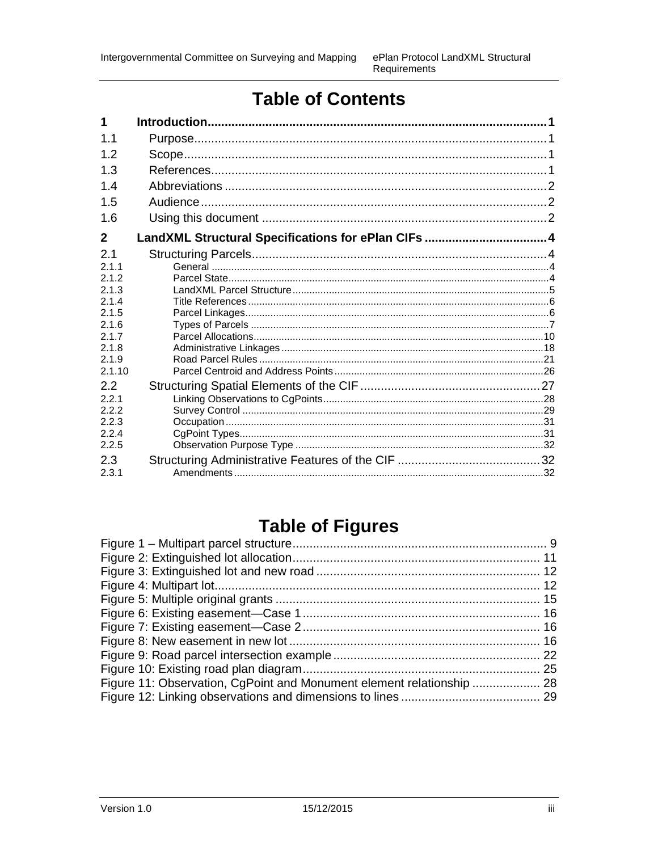## **Table of Contents**

| 1            |  |
|--------------|--|
| 1.1          |  |
| 12           |  |
| 1.3          |  |
| 1.4          |  |
| 1.5          |  |
| 1.6          |  |
| $\mathbf{2}$ |  |
| 2.1          |  |
| 2.1.1        |  |
| 2.1.2        |  |
| 2.1.3        |  |
| 2.1.4        |  |
| 2.1.5        |  |
| 2.1.6        |  |
| 2.1.7        |  |
| 2.1.8        |  |
| 2.1.9        |  |
| 2.1.10       |  |
| 2.2          |  |
| 2.2.1        |  |
| 2.2.2        |  |
| 2.2.3        |  |
| 2.2.4        |  |
| 2.2.5        |  |
| 2.3          |  |
| 2.3.1        |  |

## **Table of Figures**

| Figure 11: Observation, CgPoint and Monument element relationship  28 |  |
|-----------------------------------------------------------------------|--|
|                                                                       |  |
|                                                                       |  |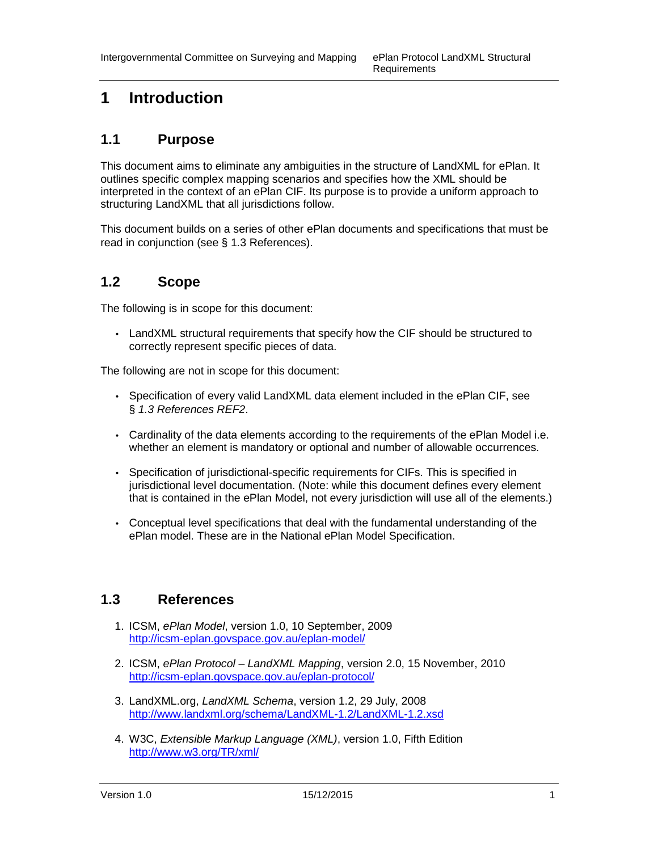## **1 Introduction**

## **1.1 Purpose**

This document aims to eliminate any ambiguities in the structure of LandXML for ePlan. It outlines specific complex mapping scenarios and specifies how the XML should be interpreted in the context of an ePlan CIF. Its purpose is to provide a uniform approach to structuring LandXML that all jurisdictions follow.

This document builds on a series of other ePlan documents and specifications that must be read in conjunction (see § 1.3 References).

## **1.2 Scope**

The following is in scope for this document:

• LandXML structural requirements that specify how the CIF should be structured to correctly represent specific pieces of data.

The following are not in scope for this document:

- Specification of every valid LandXML data element included in the ePlan CIF, see § 1.3 References REF2.
- Cardinality of the data elements according to the requirements of the ePlan Model i.e. whether an element is mandatory or optional and number of allowable occurrences.
- Specification of jurisdictional-specific requirements for CIFs. This is specified in jurisdictional level documentation. (Note: while this document defines every element that is contained in the ePlan Model, not every jurisdiction will use all of the elements.)
- Conceptual level specifications that deal with the fundamental understanding of the ePlan model. These are in the National ePlan Model Specification.

## **1.3 References**

- 1. ICSM, ePlan Model, version 1.0, 10 September, 2009 http://icsm-eplan.govspace.gov.au/eplan-model/
- 2. ICSM, ePlan Protocol LandXML Mapping, version 2.0, 15 November, 2010 http://icsm-eplan.govspace.gov.au/eplan-protocol/
- 3. LandXML.org, LandXML Schema, version 1.2, 29 July, 2008 http://www.landxml.org/schema/LandXML-1.2/LandXML-1.2.xsd
- 4. W3C, Extensible Markup Language (XML), version 1.0, Fifth Edition http://www.w3.org/TR/xml/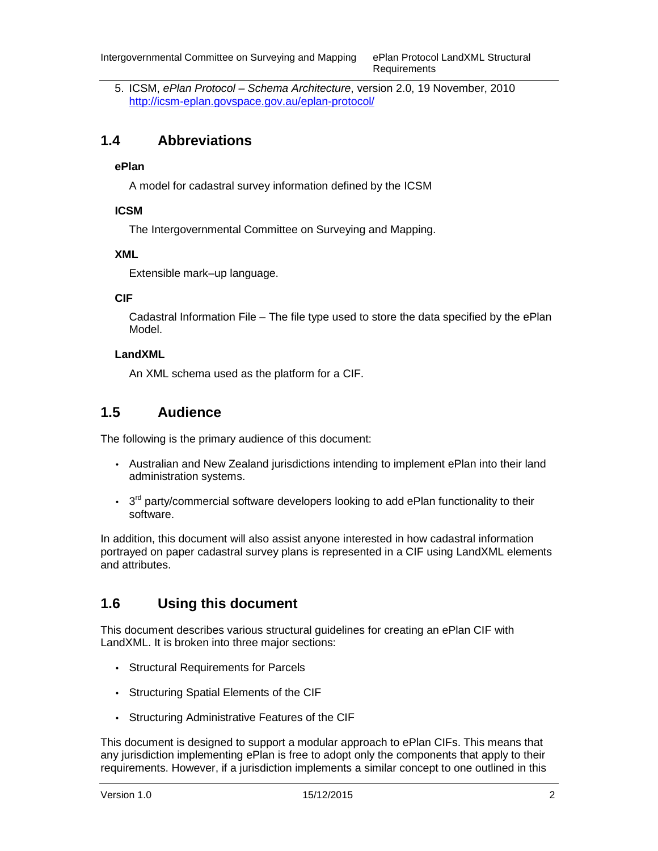5. ICSM, ePlan Protocol – Schema Architecture, version 2.0, 19 November, 2010 http://icsm-eplan.govspace.gov.au/eplan-protocol/

## **1.4 Abbreviations**

#### **ePlan**

A model for cadastral survey information defined by the ICSM

#### **ICSM**

The Intergovernmental Committee on Surveying and Mapping.

#### **XML**

Extensible mark–up language.

#### **CIF**

Cadastral Information File – The file type used to store the data specified by the ePlan Model.

#### **LandXML**

An XML schema used as the platform for a CIF.

## **1.5 Audience**

The following is the primary audience of this document:

- Australian and New Zealand jurisdictions intending to implement ePlan into their land administration systems.
- $\cdot$  3<sup>rd</sup> party/commercial software developers looking to add ePlan functionality to their software.

In addition, this document will also assist anyone interested in how cadastral information portrayed on paper cadastral survey plans is represented in a CIF using LandXML elements and attributes.

## **1.6 Using this document**

This document describes various structural guidelines for creating an ePlan CIF with LandXML. It is broken into three major sections:

- Structural Requirements for Parcels
- Structuring Spatial Elements of the CIF
- Structuring Administrative Features of the CIF

This document is designed to support a modular approach to ePlan CIFs. This means that any jurisdiction implementing ePlan is free to adopt only the components that apply to their requirements. However, if a jurisdiction implements a similar concept to one outlined in this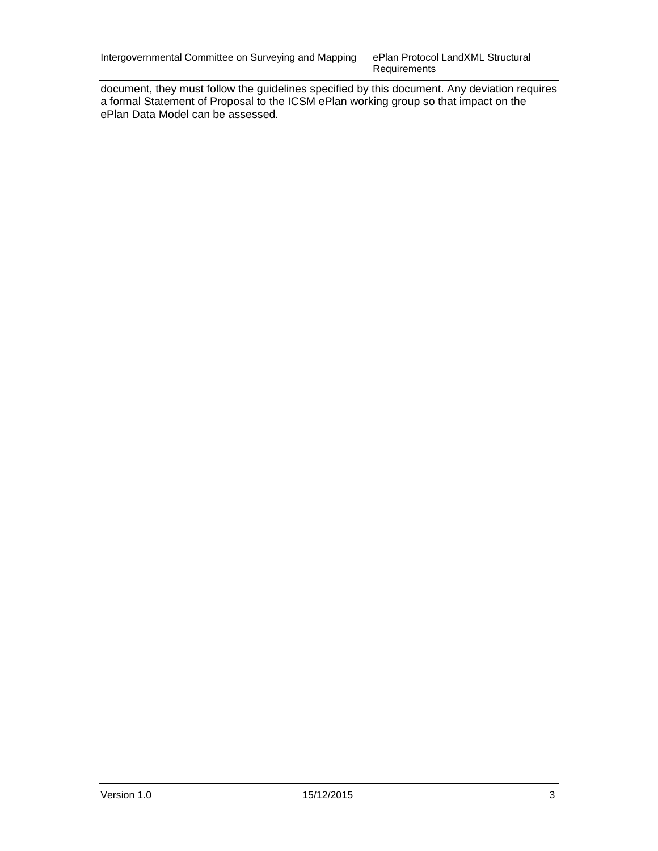Requirements

document, they must follow the guidelines specified by this document. Any deviation requires a formal Statement of Proposal to the ICSM ePlan working group so that impact on the ePlan Data Model can be assessed.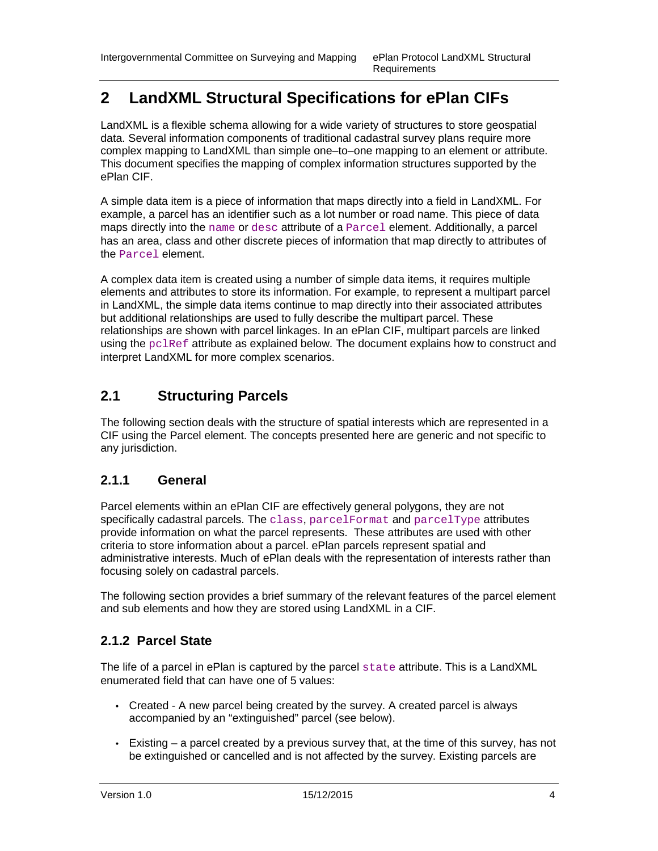## **2 LandXML Structural Specifications for ePlan CIFs**

LandXML is a flexible schema allowing for a wide variety of structures to store geospatial data. Several information components of traditional cadastral survey plans require more complex mapping to LandXML than simple one–to–one mapping to an element or attribute. This document specifies the mapping of complex information structures supported by the ePlan CIF.

A simple data item is a piece of information that maps directly into a field in LandXML. For example, a parcel has an identifier such as a lot number or road name. This piece of data maps directly into the name or desc attribute of a Parcel element. Additionally, a parcel has an area, class and other discrete pieces of information that map directly to attributes of the Parcel element.

A complex data item is created using a number of simple data items, it requires multiple elements and attributes to store its information. For example, to represent a multipart parcel in LandXML, the simple data items continue to map directly into their associated attributes but additional relationships are used to fully describe the multipart parcel. These relationships are shown with parcel linkages. In an ePlan CIF, multipart parcels are linked using the pclRef attribute as explained below. The document explains how to construct and interpret LandXML for more complex scenarios.

## **2.1 Structuring Parcels**

The following section deals with the structure of spatial interests which are represented in a CIF using the Parcel element. The concepts presented here are generic and not specific to any jurisdiction.

## **2.1.1 General**

Parcel elements within an ePlan CIF are effectively general polygons, they are not specifically cadastral parcels. The class,  $\text{parent}$  and  $\text{parent}$  and  $\text{parent}$ provide information on what the parcel represents. These attributes are used with other criteria to store information about a parcel. ePlan parcels represent spatial and administrative interests. Much of ePlan deals with the representation of interests rather than focusing solely on cadastral parcels.

The following section provides a brief summary of the relevant features of the parcel element and sub elements and how they are stored using LandXML in a CIF.

## **2.1.2 Parcel State**

The life of a parcel in ePlan is captured by the parcel state attribute. This is a LandXML enumerated field that can have one of 5 values:

- Created A new parcel being created by the survey. A created parcel is always accompanied by an "extinguished" parcel (see below).
- $\bullet$  Existing a parcel created by a previous survey that, at the time of this survey, has not be extinguished or cancelled and is not affected by the survey. Existing parcels are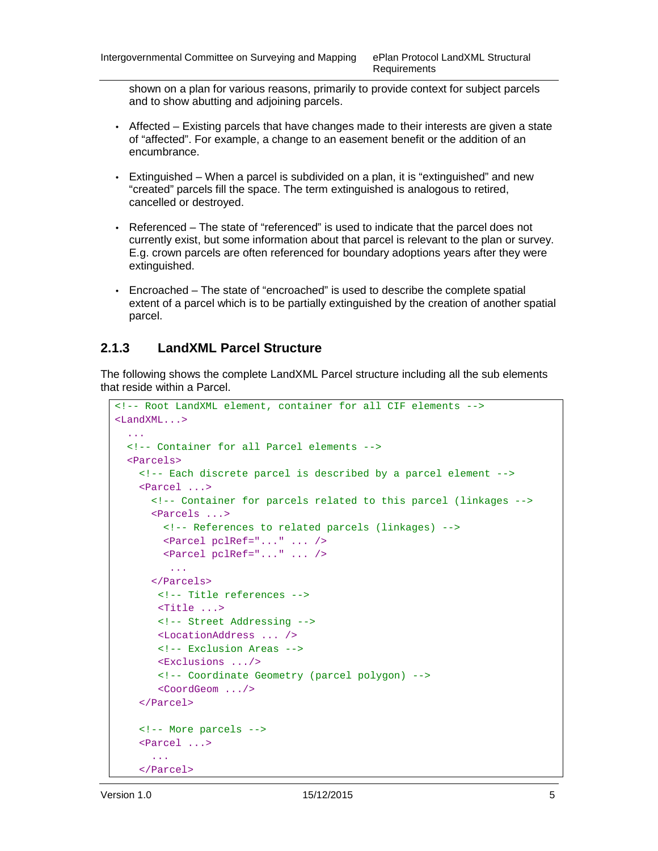shown on a plan for various reasons, primarily to provide context for subject parcels and to show abutting and adjoining parcels.

- Affected Existing parcels that have changes made to their interests are given a state of "affected". For example, a change to an easement benefit or the addition of an encumbrance.
- Extinguished When a parcel is subdivided on a plan, it is "extinguished" and new "created" parcels fill the space. The term extinguished is analogous to retired, cancelled or destroyed.
- Referenced The state of "referenced" is used to indicate that the parcel does not currently exist, but some information about that parcel is relevant to the plan or survey. E.g. crown parcels are often referenced for boundary adoptions years after they were extinguished.
- Encroached The state of "encroached" is used to describe the complete spatial extent of a parcel which is to be partially extinguished by the creation of another spatial parcel.

### **2.1.3 LandXML Parcel Structure**

The following shows the complete LandXML Parcel structure including all the sub elements that reside within a Parcel.

```
<!-- Root LandXML element, container for all CIF elements --> 
<LandXML...> 
   ... 
   <!-- Container for all Parcel elements --> 
   <Parcels> 
     <!-- Each discrete parcel is described by a parcel element -->
     <Parcel ...> 
       <!-- Container for parcels related to this parcel (linkages --> 
       <Parcels ...> 
         <!-- References to related parcels (linkages) --> 
         <Parcel pclRef="..." ... /> 
         <Parcel pclRef="..." ... /> 
          ... 
       </Parcels> 
        <!-- Title references --> 
        <Title ...> 
        <!-- Street Addressing --> 
        <LocationAddress ... /> 
        <!-- Exclusion Areas --> 
        <Exclusions .../> 
        <!-- Coordinate Geometry (parcel polygon) --> 
        <CoordGeom .../> 
     </Parcel> 
     <!-- More parcels --> 
     <Parcel ...> 
       ... 
     </Parcel>
```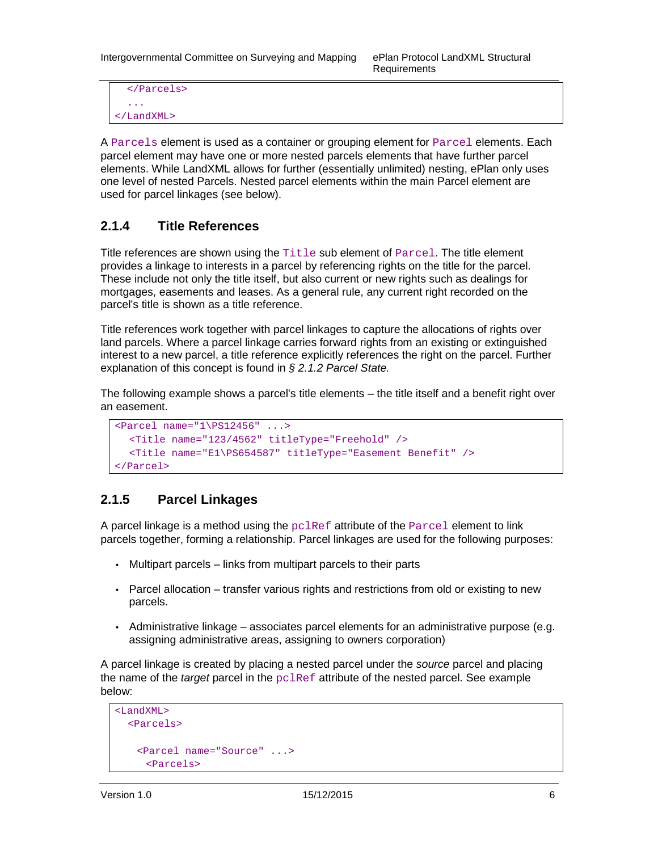Requirements

```
 </Parcels> 
 ... 
</LandXML>
```
A Parcels element is used as a container or grouping element for Parcel elements. Each parcel element may have one or more nested parcels elements that have further parcel elements. While LandXML allows for further (essentially unlimited) nesting, ePlan only uses one level of nested Parcels. Nested parcel elements within the main Parcel element are used for parcel linkages (see below).

## **2.1.4 Title References**

Title references are shown using the  $\text{Title}$  sub element of  $\text{Parsel}$ . The title element provides a linkage to interests in a parcel by referencing rights on the title for the parcel. These include not only the title itself, but also current or new rights such as dealings for mortgages, easements and leases. As a general rule, any current right recorded on the parcel's title is shown as a title reference.

Title references work together with parcel linkages to capture the allocations of rights over land parcels. Where a parcel linkage carries forward rights from an existing or extinguished interest to a new parcel, a title reference explicitly references the right on the parcel. Further explanation of this concept is found in § 2.1.2 Parcel State.

The following example shows a parcel's title elements – the title itself and a benefit right over an easement.

```
<Parcel name="1\PS12456" ...> 
   <Title name="123/4562" titleType="Freehold" /> 
   <Title name="E1\PS654587" titleType="Easement Benefit" /> 
</Parcel>
```
## **2.1.5 Parcel Linkages**

A parcel linkage is a method using the  $pclRef$  attribute of the  $parcel$  element to link parcels together, forming a relationship. Parcel linkages are used for the following purposes:

- Multipart parcels links from multipart parcels to their parts
- Parcel allocation transfer various rights and restrictions from old or existing to new parcels.
- Administrative linkage associates parcel elements for an administrative purpose (e.g. assigning administrative areas, assigning to owners corporation)

A parcel linkage is created by placing a nested parcel under the source parcel and placing the name of the *target* parcel in the  $pclRef$  attribute of the nested parcel. See example below:

```
<LandXML> 
  <Parcels> 
    <Parcel name="Source" ...> 
     <Parcels>
```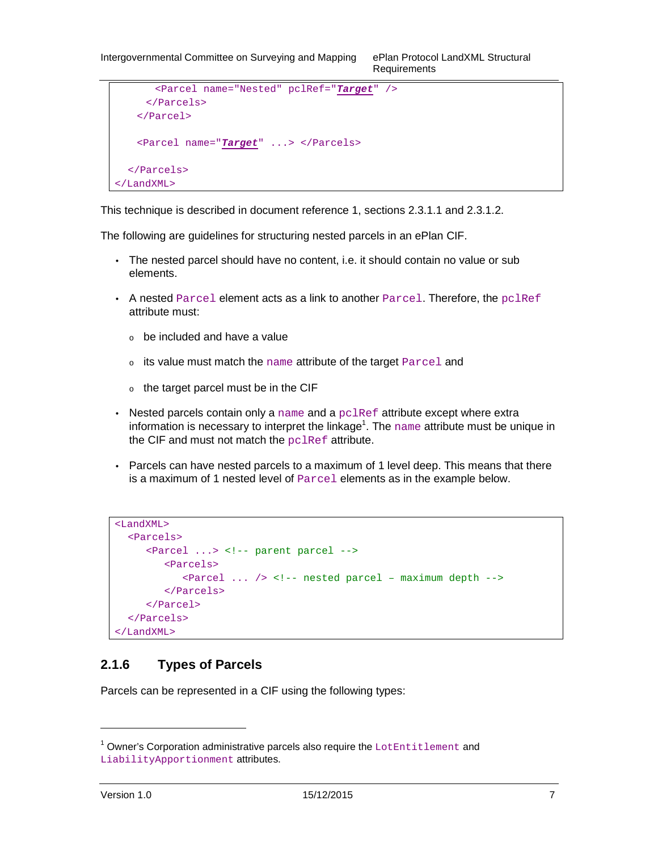```
<Parcel name="Nested" pclRef="Target" /> 
     </Parcels> 
   </Parcel> 
   <Parcel name="Target" ...> </Parcels> 
  </Parcels> 
</LandXML>
```
This technique is described in document reference 1, sections 2.3.1.1 and 2.3.1.2.

The following are guidelines for structuring nested parcels in an ePlan CIF.

- The nested parcel should have no content, i.e. it should contain no value or sub elements.
- A nested  $\text{Parcel}$  element acts as a link to another  $\text{Parcel}$ . Therefore, the  $\text{pclRef}$ attribute must:
	- $\circ$  be included and have a value
	- <sup>o</sup> its value must match the name attribute of the target Parcel and
	- $\circ$  the target parcel must be in the CIF
- Nested parcels contain only a  $n =$  and a  $pclRef$  attribute except where extra information is necessary to interpret the linkage<sup>1</sup>. The  $_{\text{name}}$  attribute must be unique in the CIF and must not match the pclRef attribute.
- Parcels can have nested parcels to a maximum of 1 level deep. This means that there is a maximum of 1 nested level of Parcel elements as in the example below.

```
<LandXML> 
  <Parcels> 
     <Parcel ...> <!-- parent parcel -->
        <Parcels> 
           <Parcel ... /> <!-- nested parcel – maximum depth -->
        </Parcels> 
     </Parcel> 
  </Parcels> 
</LandXML>
```
## **2.1.6 Types of Parcels**

Parcels can be represented in a CIF using the following types:

-

 $^1$  Owner's Corporation administrative parcels also require the LotEntitlement and LiabilityApportionment attributes.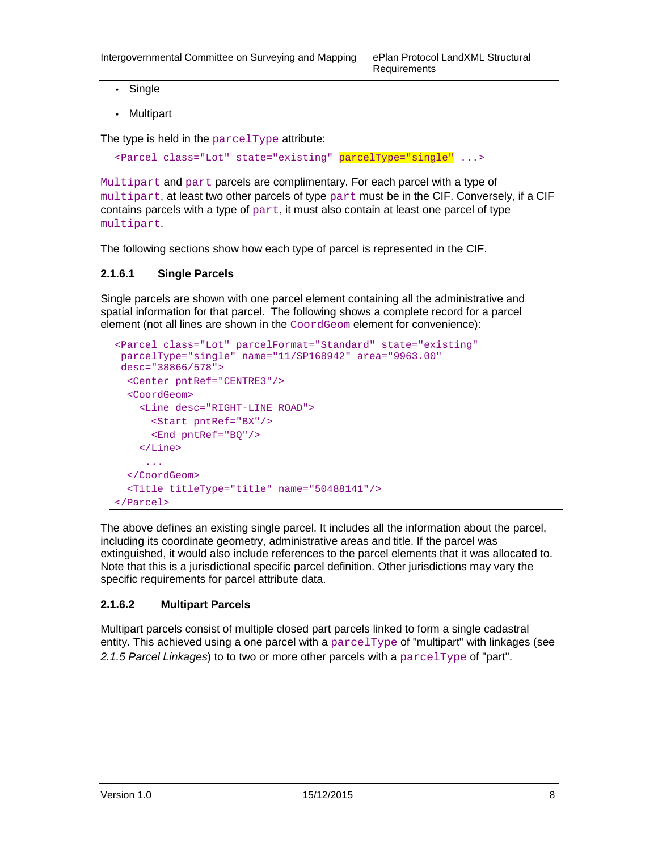- Single
- Multipart

The type is held in the parcelType attribute:

<Parcel class="Lot" state="existing" parcelType="single" ...>

Multipart and part parcels are complimentary. For each parcel with a type of multipart, at least two other parcels of type part must be in the CIF. Conversely, if a CIF contains parcels with a type of  $part$ , it must also contain at least one parcel of type multipart.

The following sections show how each type of parcel is represented in the CIF.

#### **2.1.6.1 Single Parcels**

Single parcels are shown with one parcel element containing all the administrative and spatial information for that parcel. The following shows a complete record for a parcel element (not all lines are shown in the CoordGeom element for convenience):

```
<Parcel class="Lot" parcelFormat="Standard" state="existing" 
 parcelType="single" name="11/SP168942" area="9963.00" 
 desc="38866/578"> 
   <Center pntRef="CENTRE3"/> 
  <CoordGeom> 
     <Line desc="RIGHT-LINE ROAD"> 
       <Start pntRef="BX"/> 
       <End pntRef="BQ"/> 
     </Line> 
      ... 
   </CoordGeom> 
   <Title titleType="title" name="50488141"/> 
</Parcel>
```
The above defines an existing single parcel. It includes all the information about the parcel, including its coordinate geometry, administrative areas and title. If the parcel was extinguished, it would also include references to the parcel elements that it was allocated to. Note that this is a jurisdictional specific parcel definition. Other jurisdictions may vary the specific requirements for parcel attribute data.

#### **2.1.6.2 Multipart Parcels**

Multipart parcels consist of multiple closed part parcels linked to form a single cadastral entity. This achieved using a one parcel with a  $\text{parcellType}$  of "multipart" with linkages (see 2.1.5 Parcel Linkages) to to two or more other parcels with a  $\text{parcellype}$  of "part".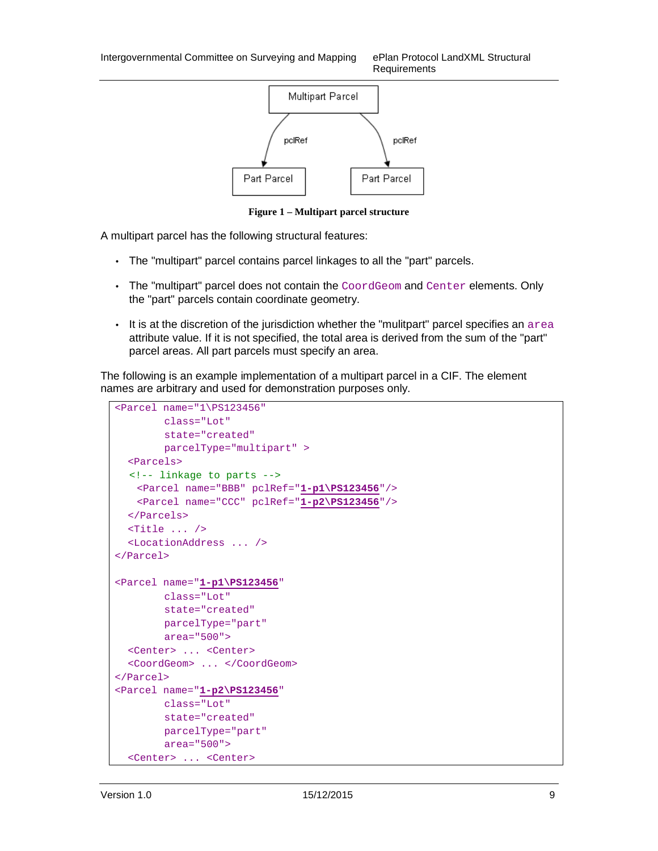Requirements



**Figure 1 – Multipart parcel structure** 

A multipart parcel has the following structural features:

- The "multipart" parcel contains parcel linkages to all the "part" parcels.
- The "multipart" parcel does not contain the CoordGeom and Center elements. Only the "part" parcels contain coordinate geometry.
- It is at the discretion of the jurisdiction whether the "mulitpart" parcel specifies an area attribute value. If it is not specified, the total area is derived from the sum of the "part" parcel areas. All part parcels must specify an area.

The following is an example implementation of a multipart parcel in a CIF. The element names are arbitrary and used for demonstration purposes only.

```
<Parcel name="1\PS123456" 
        class="Lot" 
        state="created" 
        parcelType="multipart" > 
  <Parcels> 
   <!-- linkage to parts --> 
   <Parcel name="BBB" pclRef="1-p1\PS123456"/> 
   <Parcel name="CCC" pclRef="1-p2\PS123456"/> 
  </Parcels> 
  <Title ... /> 
  <LocationAddress ... /> 
</Parcel> 
<Parcel name="1-p1\PS123456" 
        class="Lot" 
        state="created" 
        parcelType="part" 
        area="500"> 
  <Center> ... <Center> 
  <CoordGeom> ... </CoordGeom> 
</Parcel> 
<Parcel name="1-p2\PS123456" 
        class="Lot" 
        state="created" 
        parcelType="part" 
        area="500"> 
  <Center> ... <Center>
```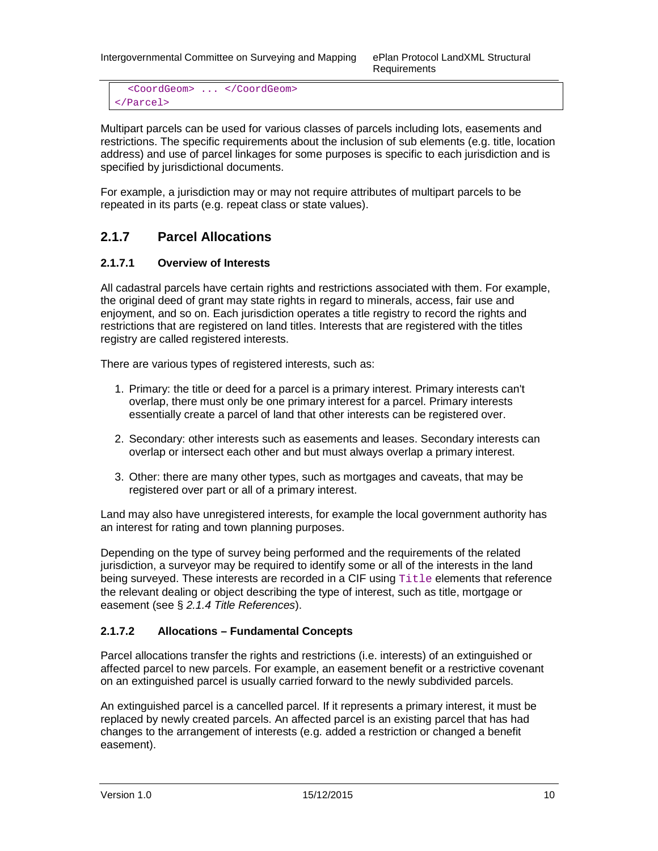Requirements

<CoordGeom> ... </CoordGeom> </Parcel>

Multipart parcels can be used for various classes of parcels including lots, easements and restrictions. The specific requirements about the inclusion of sub elements (e.g. title, location address) and use of parcel linkages for some purposes is specific to each jurisdiction and is specified by jurisdictional documents.

For example, a jurisdiction may or may not require attributes of multipart parcels to be repeated in its parts (e.g. repeat class or state values).

## **2.1.7 Parcel Allocations**

#### **2.1.7.1 Overview of Interests**

All cadastral parcels have certain rights and restrictions associated with them. For example, the original deed of grant may state rights in regard to minerals, access, fair use and enjoyment, and so on. Each jurisdiction operates a title registry to record the rights and restrictions that are registered on land titles. Interests that are registered with the titles registry are called registered interests.

There are various types of registered interests, such as:

- 1. Primary: the title or deed for a parcel is a primary interest. Primary interests can't overlap, there must only be one primary interest for a parcel. Primary interests essentially create a parcel of land that other interests can be registered over.
- 2. Secondary: other interests such as easements and leases. Secondary interests can overlap or intersect each other and but must always overlap a primary interest.
- 3. Other: there are many other types, such as mortgages and caveats, that may be registered over part or all of a primary interest.

Land may also have unregistered interests, for example the local government authority has an interest for rating and town planning purposes.

Depending on the type of survey being performed and the requirements of the related jurisdiction, a surveyor may be required to identify some or all of the interests in the land being surveyed. These interests are recorded in a CIF using Title elements that reference the relevant dealing or object describing the type of interest, such as title, mortgage or easement (see § 2.1.4 Title References).

#### **2.1.7.2 Allocations – Fundamental Concepts**

Parcel allocations transfer the rights and restrictions (i.e. interests) of an extinguished or affected parcel to new parcels. For example, an easement benefit or a restrictive covenant on an extinguished parcel is usually carried forward to the newly subdivided parcels.

An extinguished parcel is a cancelled parcel. If it represents a primary interest, it must be replaced by newly created parcels. An affected parcel is an existing parcel that has had changes to the arrangement of interests (e.g. added a restriction or changed a benefit easement).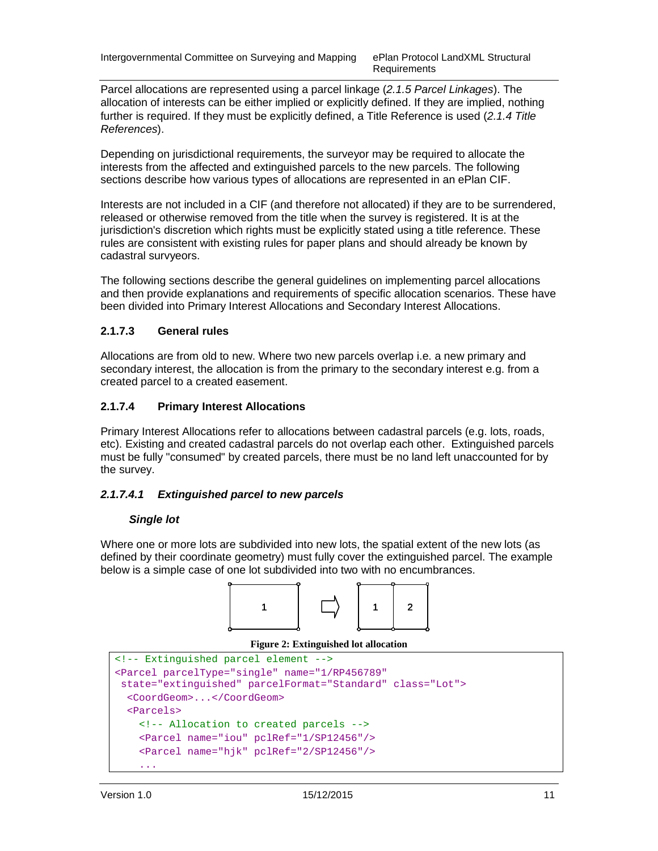Requirements

Parcel allocations are represented using a parcel linkage (2.1.5 Parcel Linkages). The allocation of interests can be either implied or explicitly defined. If they are implied, nothing further is required. If they must be explicitly defined, a Title Reference is used (2.1.4 Title References).

Depending on jurisdictional requirements, the surveyor may be required to allocate the interests from the affected and extinguished parcels to the new parcels. The following sections describe how various types of allocations are represented in an ePlan CIF.

Interests are not included in a CIF (and therefore not allocated) if they are to be surrendered, released or otherwise removed from the title when the survey is registered. It is at the jurisdiction's discretion which rights must be explicitly stated using a title reference. These rules are consistent with existing rules for paper plans and should already be known by cadastral survyeors.

The following sections describe the general guidelines on implementing parcel allocations and then provide explanations and requirements of specific allocation scenarios. These have been divided into Primary Interest Allocations and Secondary Interest Allocations.

#### **2.1.7.3 General rules**

Allocations are from old to new. Where two new parcels overlap i.e. a new primary and secondary interest, the allocation is from the primary to the secondary interest e.g. from a created parcel to a created easement.

#### **2.1.7.4 Primary Interest Allocations**

Primary Interest Allocations refer to allocations between cadastral parcels (e.g. lots, roads, etc). Existing and created cadastral parcels do not overlap each other. Extinguished parcels must be fully "consumed" by created parcels, there must be no land left unaccounted for by the survey.

#### **2.1.7.4.1 Extinguished parcel to new parcels**

#### **Single lot**

Where one or more lots are subdivided into new lots, the spatial extent of the new lots (as defined by their coordinate geometry) must fully cover the extinguished parcel. The example below is a simple case of one lot subdivided into two with no encumbrances.

![](_page_13_Figure_13.jpeg)

#### **Figure 2: Extinguished lot allocation**

```
<!-- Extinguished parcel element --> 
<Parcel parcelType="single" name="1/RP456789" 
 state="extinguished" parcelFormat="Standard" class="Lot"> 
   <CoordGeom>...</CoordGeom> 
   <Parcels> 
     <!-- Allocation to created parcels --> 
     <Parcel name="iou" pclRef="1/SP12456"/> 
     <Parcel name="hjk" pclRef="2/SP12456"/> 
 ...
```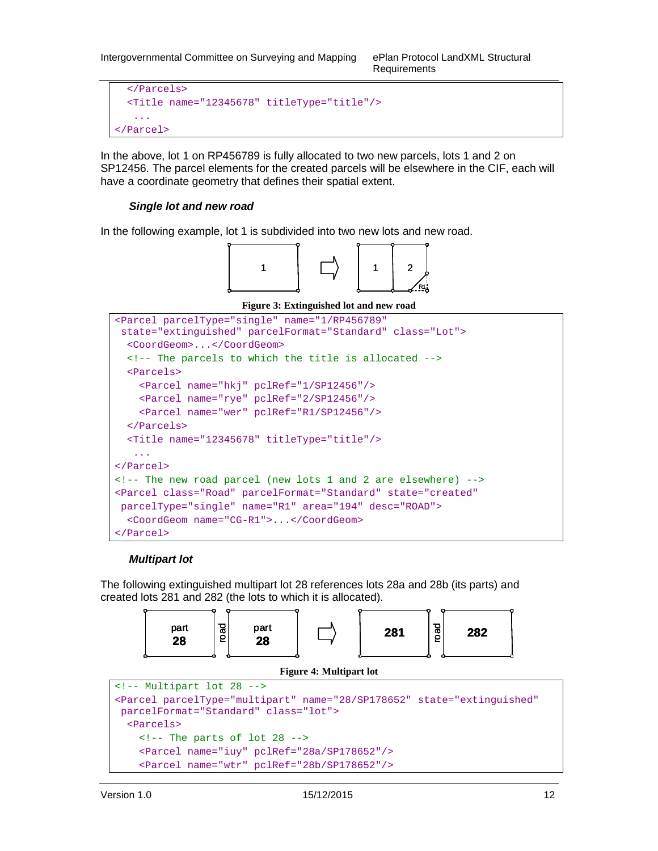```
 </Parcels> 
   <Title name="12345678" titleType="title"/> 
    ... 
</Parcel>
```
In the above, lot 1 on RP456789 is fully allocated to two new parcels, lots 1 and 2 on SP12456. The parcel elements for the created parcels will be elsewhere in the CIF, each will have a coordinate geometry that defines their spatial extent.

#### **Single lot and new road**

In the following example, lot 1 is subdivided into two new lots and new road.

![](_page_14_Figure_5.jpeg)

**Figure 3: Extinguished lot and new road** 

```
<Parcel parcelType="single" name="1/RP456789" 
 state="extinguished" parcelFormat="Standard" class="Lot"> 
   <CoordGeom>...</CoordGeom> 
  <!-- The parcels to which the title is allocated --> 
  <Parcels> 
     <Parcel name="hkj" pclRef="1/SP12456"/> 
     <Parcel name="rye" pclRef="2/SP12456"/> 
     <Parcel name="wer" pclRef="R1/SP12456"/> 
   </Parcels> 
   <Title name="12345678" titleType="title"/> 
    ... 
</Parcel> 
<!-- The new road parcel (new lots 1 and 2 are elsewhere) --> 
<Parcel class="Road" parcelFormat="Standard" state="created" 
 parcelType="single" name="R1" area="194" desc="ROAD"> 
   <CoordGeom name="CG-R1">...</CoordGeom> 
</Parcel>
```
#### **Multipart lot**

The following extinguished multipart lot 28 references lots 28a and 28b (its parts) and created lots 281 and 282 (the lots to which it is allocated).

![](_page_14_Figure_10.jpeg)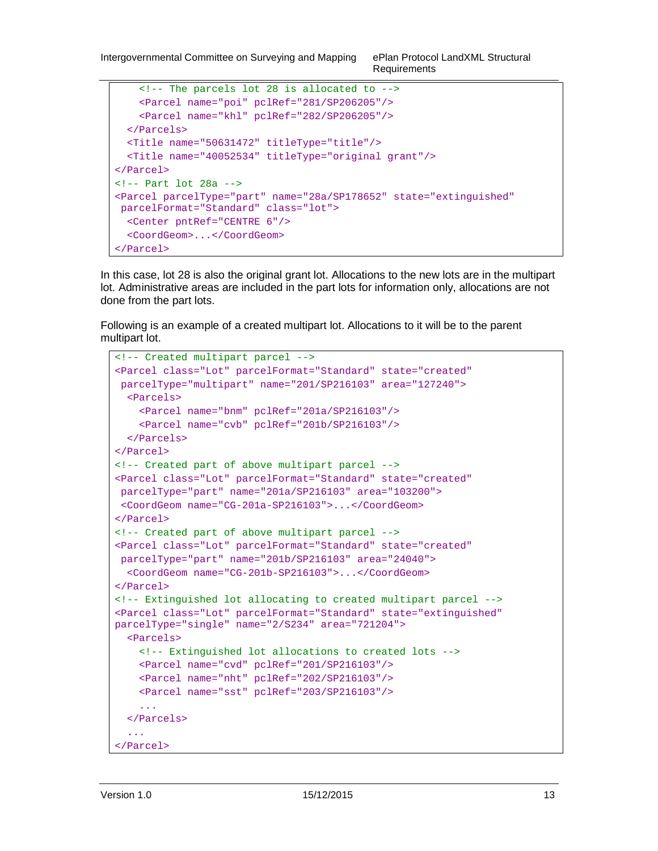```
 <!-- The parcels lot 28 is allocated to --> 
     <Parcel name="poi" pclRef="281/SP206205"/> 
     <Parcel name="khl" pclRef="282/SP206205"/> 
   </Parcels> 
   <Title name="50631472" titleType="title"/> 
   <Title name="40052534" titleType="original grant"/> 
</Parcel> 
<!-- Part lot 28a --> 
<Parcel parcelType="part" name="28a/SP178652" state="extinguished" 
 parcelFormat="Standard" class="lot"> 
   <Center pntRef="CENTRE 6"/> 
   <CoordGeom>...</CoordGeom> 
</Parcel>
```
In this case, lot 28 is also the original grant lot. Allocations to the new lots are in the multipart lot. Administrative areas are included in the part lots for information only, allocations are not done from the part lots.

Following is an example of a created multipart lot. Allocations to it will be to the parent multipart lot.

```
<!-- Created multipart parcel --> 
<Parcel class="Lot" parcelFormat="Standard" state="created" 
 parcelType="multipart" name="201/SP216103" area="127240"> 
   <Parcels> 
     <Parcel name="bnm" pclRef="201a/SP216103"/> 
     <Parcel name="cvb" pclRef="201b/SP216103"/> 
   </Parcels> 
</Parcel> 
<!-- Created part of above multipart parcel --> 
<Parcel class="Lot" parcelFormat="Standard" state="created" 
  parcelType="part" name="201a/SP216103" area="103200"> 
  <CoordGeom name="CG-201a-SP216103">...</CoordGeom>
</Parcel> 
<!-- Created part of above multipart parcel --> 
<Parcel class="Lot" parcelFormat="Standard" state="created" 
 parcelType="part" name="201b/SP216103" area="24040"> 
   <CoordGeom name="CG-201b-SP216103">...</CoordGeom> 
</Parcel> 
<!-- Extinguished lot allocating to created multipart parcel --> 
<Parcel class="Lot" parcelFormat="Standard" state="extinguished" 
parcelType="single" name="2/S234" area="721204"> 
   <Parcels> 
     <!-- Extinguished lot allocations to created lots --> 
     <Parcel name="cvd" pclRef="201/SP216103"/> 
     <Parcel name="nht" pclRef="202/SP216103"/> 
     <Parcel name="sst" pclRef="203/SP216103"/> 
     ... 
   </Parcels> 
   ... 
</Parcel>
```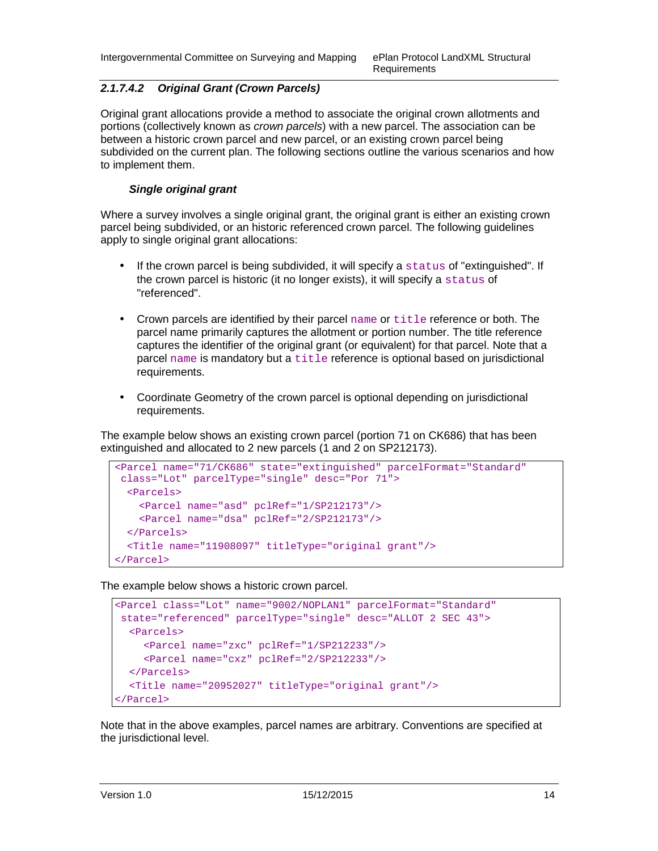#### **2.1.7.4.2 Original Grant (Crown Parcels)**

Original grant allocations provide a method to associate the original crown allotments and portions (collectively known as crown parcels) with a new parcel. The association can be between a historic crown parcel and new parcel, or an existing crown parcel being subdivided on the current plan. The following sections outline the various scenarios and how to implement them.

#### **Single original grant**

Where a survey involves a single original grant, the original grant is either an existing crown parcel being subdivided, or an historic referenced crown parcel. The following guidelines apply to single original grant allocations:

- If the crown parcel is being subdivided, it will specify a status of "extinguished". If the crown parcel is historic (it no longer exists), it will specify a status of "referenced".
- Crown parcels are identified by their parcel  $name$  or  $title$  reference or both. The parcel name primarily captures the allotment or portion number. The title reference captures the identifier of the original grant (or equivalent) for that parcel. Note that a parcel name is mandatory but a title reference is optional based on jurisdictional requirements.
- Coordinate Geometry of the crown parcel is optional depending on jurisdictional requirements.

The example below shows an existing crown parcel (portion 71 on CK686) that has been extinguished and allocated to 2 new parcels (1 and 2 on SP212173).

```
<Parcel name="71/CK686" state="extinguished" parcelFormat="Standard" 
 class="Lot" parcelType="single" desc="Por 71"> 
  <Parcels> 
    <Parcel name="asd" pclRef="1/SP212173"/> 
    <Parcel name="dsa" pclRef="2/SP212173"/> 
   </Parcels> 
  <Title name="11908097" titleType="original grant"/> 
</Parcel>
```
The example below shows a historic crown parcel.

```
<Parcel class="Lot" name="9002/NOPLAN1" parcelFormat="Standard" 
 state="referenced" parcelType="single" desc="ALLOT 2 SEC 43"> 
   <Parcels> 
     <Parcel name="zxc" pclRef="1/SP212233"/> 
     <Parcel name="cxz" pclRef="2/SP212233"/> 
  </Parcels> 
   <Title name="20952027" titleType="original grant"/> 
</Parcel>
```
Note that in the above examples, parcel names are arbitrary. Conventions are specified at the jurisdictional level.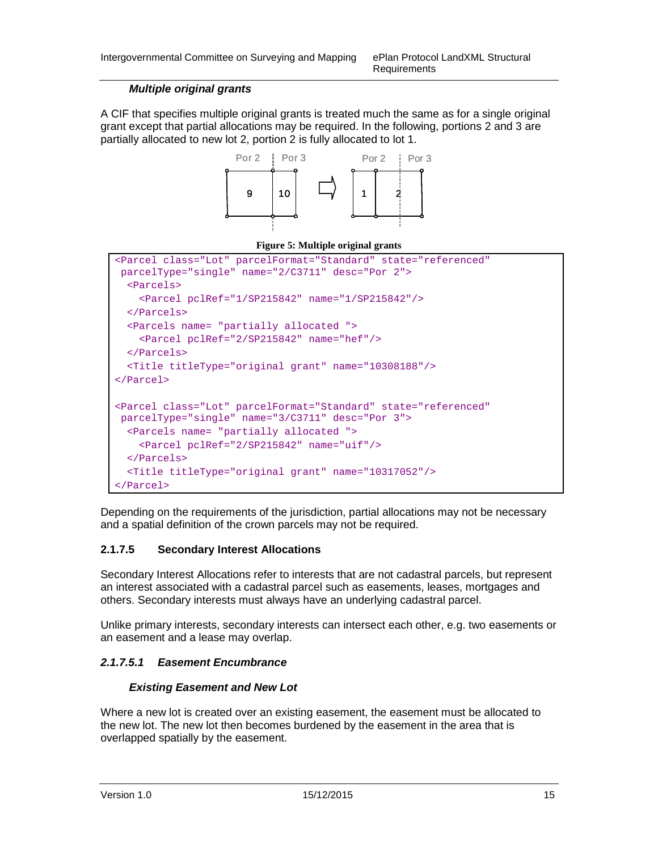#### **Multiple original grants**

A CIF that specifies multiple original grants is treated much the same as for a single original grant except that partial allocations may be required. In the following, portions 2 and 3 are partially allocated to new lot 2, portion 2 is fully allocated to lot 1.

![](_page_17_Figure_4.jpeg)

![](_page_17_Figure_5.jpeg)

```
<Parcel class="Lot" parcelFormat="Standard" state="referenced" 
 parcelType="single" name="2/C3711" desc="Por 2"> 
   <Parcels> 
     <Parcel pclRef="1/SP215842" name="1/SP215842"/>
   </Parcels> 
   <Parcels name= "partially allocated "> 
     <Parcel pclRef="2/SP215842" name="hef"/> 
   </Parcels> 
   <Title titleType="original grant" name="10308188"/> 
</Parcel> 
<Parcel class="Lot" parcelFormat="Standard" state="referenced" 
 parcelType="single" name="3/C3711" desc="Por 3"> 
   <Parcels name= "partially allocated "> 
     <Parcel pclRef="2/SP215842" name="uif"/> 
   </Parcels> 
   <Title titleType="original grant" name="10317052"/> 
</Parcel>
```
Depending on the requirements of the jurisdiction, partial allocations may not be necessary and a spatial definition of the crown parcels may not be required.

#### **2.1.7.5 Secondary Interest Allocations**

Secondary Interest Allocations refer to interests that are not cadastral parcels, but represent an interest associated with a cadastral parcel such as easements, leases, mortgages and others. Secondary interests must always have an underlying cadastral parcel.

Unlike primary interests, secondary interests can intersect each other, e.g. two easements or an easement and a lease may overlap.

#### **2.1.7.5.1 Easement Encumbrance**

#### **Existing Easement and New Lot**

Where a new lot is created over an existing easement, the easement must be allocated to the new lot. The new lot then becomes burdened by the easement in the area that is overlapped spatially by the easement.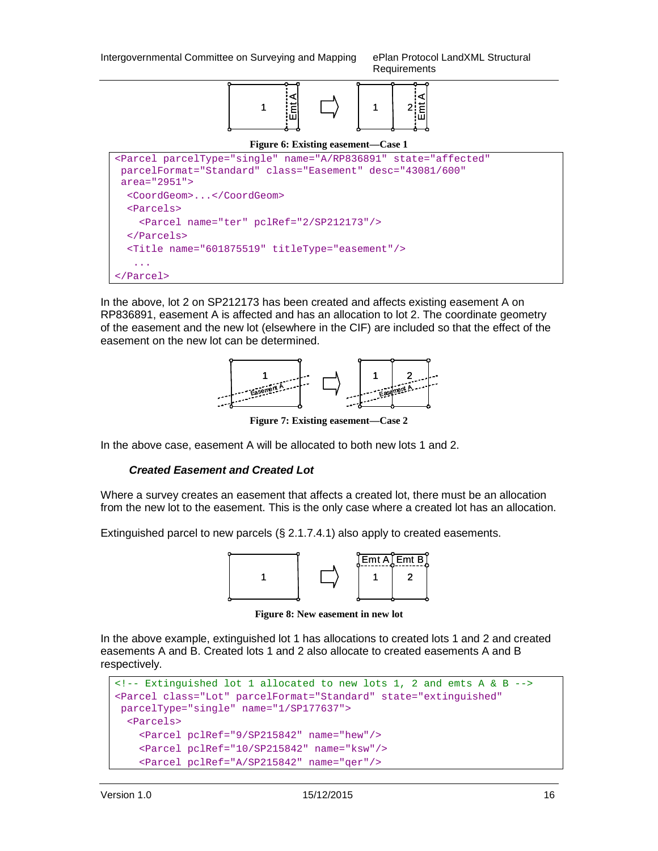Requirements

![](_page_18_Figure_2.jpeg)

**Figure 6: Existing easement—Case 1** 

```
<Parcel parcelType="single" name="A/RP836891" state="affected" 
 parcelFormat="Standard" class="Easement" desc="43081/600" 
 area="2951"> 
   <CoordGeom>...</CoordGeom> 
   <Parcels> 
     <Parcel name="ter" pclRef="2/SP212173"/> 
   </Parcels> 
   <Title name="601875519" titleType="easement"/> 
 ... 
</Parcel>
```
In the above, lot 2 on SP212173 has been created and affects existing easement A on RP836891, easement A is affected and has an allocation to lot 2. The coordinate geometry of the easement and the new lot (elsewhere in the CIF) are included so that the effect of the easement on the new lot can be determined.

![](_page_18_Figure_6.jpeg)

**Figure 7: Existing easement—Case 2** 

In the above case, easement A will be allocated to both new lots 1 and 2.

#### **Created Easement and Created Lot**

Where a survey creates an easement that affects a created lot, there must be an allocation from the new lot to the easement. This is the only case where a created lot has an allocation.

Extinguished parcel to new parcels (§ 2.1.7.4.1) also apply to created easements.

![](_page_18_Figure_12.jpeg)

**Figure 8: New easement in new lot** 

In the above example, extinguished lot 1 has allocations to created lots 1 and 2 and created easements A and B. Created lots 1 and 2 also allocate to created easements A and B respectively.

```
\langle -1 - 2, 1 \rangle = \langle 1 - 2, 1 \rangle = \langle 1 - 3, 1 \rangle = \langle 1 - 3, 1 \rangle = \langle 1 - 3, 1 \rangle = \langle 1 - 3, 1 \rangle = \langle 1 - 3, 1 \rangle = \langle 1 - 3, 1 \rangle = \langle 1 - 3, 1 \rangle = \langle 1 - 3, 1 \rangle = \langle 1 - 3, 1 \rangle = \langle 1 - 3, 1 \rangle = \langle 1 - 3, 1 \rangle = 
<Parcel class="Lot" parcelFormat="Standard" state="extinguished" 
  parcelType="single" name="1/SP177637"> 
     <Parcels> 
        <Parcel pclRef="9/SP215842" name="hew"/> 
         <Parcel pclRef="10/SP215842" name="ksw"/> 
         <Parcel pclRef="A/SP215842" name="qer"/>
```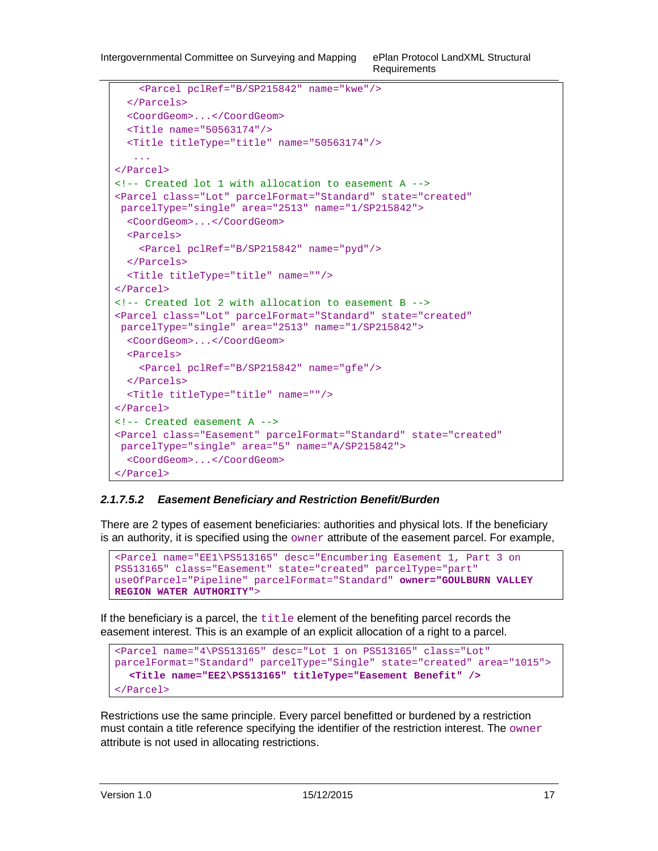```
 <Parcel pclRef="B/SP215842" name="kwe"/> 
   </Parcels> 
   <CoordGeom>...</CoordGeom> 
   <Title name="50563174"/> 
   <Title titleType="title" name="50563174"/> 
    ... 
</Parcel> 
<!-- Created lot 1 with allocation to easement A --> 
<Parcel class="Lot" parcelFormat="Standard" state="created" 
  parcelType="single" area="2513" name="1/SP215842">
   <CoordGeom>...</CoordGeom> 
   <Parcels> 
     <Parcel pclRef="B/SP215842" name="pyd"/> 
   </Parcels> 
   <Title titleType="title" name=""/> 
</Parcel> 
<!-- Created lot 2 with allocation to easement B --> 
<Parcel class="Lot" parcelFormat="Standard" state="created" 
 parcelType="single" area="2513" name="1/SP215842">
   <CoordGeom>...</CoordGeom> 
   <Parcels> 
     <Parcel pclRef="B/SP215842" name="gfe"/> 
   </Parcels> 
   <Title titleType="title" name=""/> 
</Parcel> 
<!-- Created easement A --> 
<Parcel class="Easement" parcelFormat="Standard" state="created" 
 parcelType="single" area="5" name="A/SP215842"> 
   <CoordGeom>...</CoordGeom> 
</Parcel>
```
#### **2.1.7.5.2 Easement Beneficiary and Restriction Benefit/Burden**

There are 2 types of easement beneficiaries: authorities and physical lots. If the beneficiary is an authority, it is specified using the  $\omega$ mer attribute of the easement parcel. For example,

```
<Parcel name="EE1\PS513165" desc="Encumbering Easement 1, Part 3 on 
PS513165" class="Easement" state="created" parcelType="part" 
useOfParcel="Pipeline" parcelFormat="Standard" owner="GOULBURN VALLEY 
REGION WATER AUTHORITY">
```
If the beneficiary is a parcel, the  $\text{title}$  element of the benefiting parcel records the easement interest. This is an example of an explicit allocation of a right to a parcel.

```
<Parcel name="4\PS513165" desc="Lot 1 on PS513165" class="Lot" 
parcelFormat="Standard" parcelType="Single" state="created" area="1015"> 
  <Title name="EE2\PS513165" titleType="Easement Benefit" /> 
</Parcel>
```
Restrictions use the same principle. Every parcel benefitted or burdened by a restriction must contain a title reference specifying the identifier of the restriction interest. The  $\omega$ mer attribute is not used in allocating restrictions.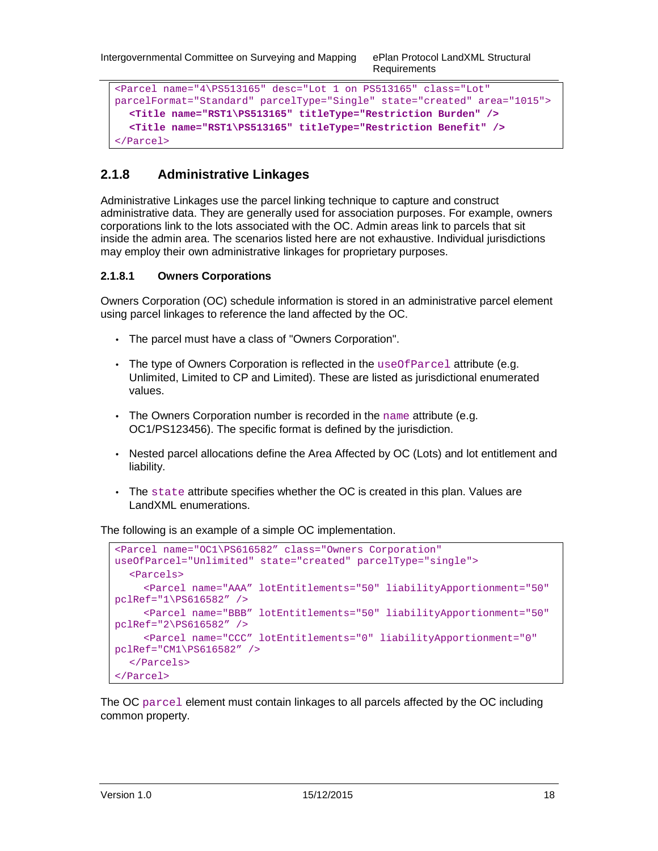```
Requirements
```

```
<Parcel name="4\PS513165" desc="Lot 1 on PS513165" class="Lot" 
parcelFormat="Standard" parcelType="Single" state="created" area="1015"> 
  <Title name="RST1\PS513165" titleType="Restriction Burden" /> 
  <Title name="RST1\PS513165" titleType="Restriction Benefit" /> 
</Parcel>
```
## **2.1.8 Administrative Linkages**

Administrative Linkages use the parcel linking technique to capture and construct administrative data. They are generally used for association purposes. For example, owners corporations link to the lots associated with the OC. Admin areas link to parcels that sit inside the admin area. The scenarios listed here are not exhaustive. Individual jurisdictions may employ their own administrative linkages for proprietary purposes.

#### **2.1.8.1 Owners Corporations**

Owners Corporation (OC) schedule information is stored in an administrative parcel element using parcel linkages to reference the land affected by the OC.

- The parcel must have a class of "Owners Corporation".
- The type of Owners Corporation is reflected in the use of  $\text{Parcel}$  attribute (e.g. Unlimited, Limited to CP and Limited). These are listed as jurisdictional enumerated values.
- The Owners Corporation number is recorded in the name attribute (e.g. OC1/PS123456). The specific format is defined by the jurisdiction.
- Nested parcel allocations define the Area Affected by OC (Lots) and lot entitlement and liability.
- The state attribute specifies whether the OC is created in this plan. Values are LandXML enumerations.

The following is an example of a simple OC implementation.

```
<Parcel name="OC1\PS616582" class="Owners Corporation" 
useOfParcel="Unlimited" state="created" parcelType="single"> 
   <Parcels> 
      <Parcel name="AAA" lotEntitlements="50" liabilityApportionment="50" 
pclRef="1\PS616582" /> 
      <Parcel name="BBB" lotEntitlements="50" liabilityApportionment="50" 
pclRef="2\PS616582" /> 
     <Parcel name="CCC" lotEntitlements="0" liabilityApportionment="0" 
pclRef="CM1\PS616582" /> 
   </Parcels> 
</Parcel>
```
The OC parcel element must contain linkages to all parcels affected by the OC including common property.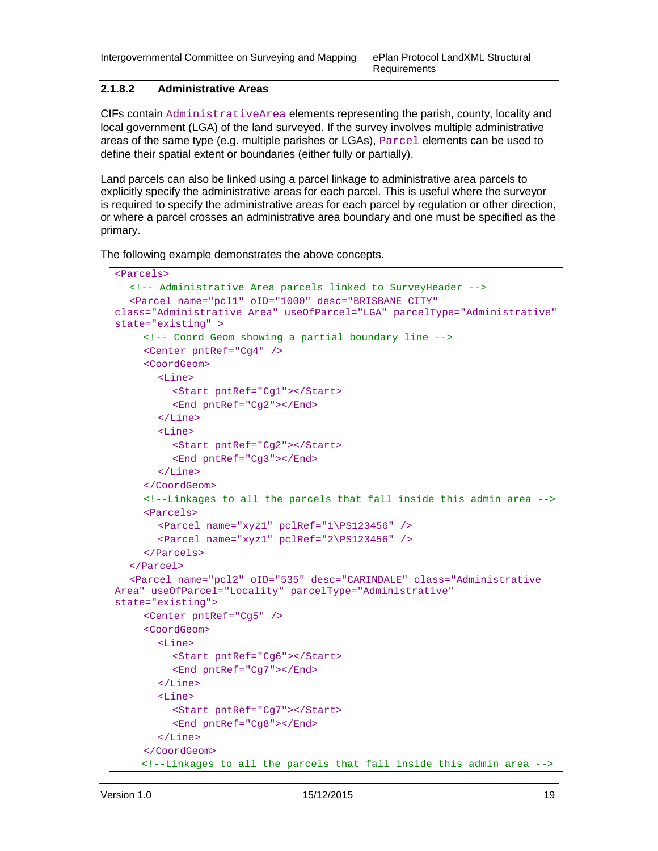#### **2.1.8.2 Administrative Areas**

CIFs contain AdministrativeArea elements representing the parish, county, locality and local government (LGA) of the land surveyed. If the survey involves multiple administrative areas of the same type (e.g. multiple parishes or LGAs), Parcel elements can be used to define their spatial extent or boundaries (either fully or partially).

Land parcels can also be linked using a parcel linkage to administrative area parcels to explicitly specify the administrative areas for each parcel. This is useful where the surveyor is required to specify the administrative areas for each parcel by regulation or other direction, or where a parcel crosses an administrative area boundary and one must be specified as the primary.

The following example demonstrates the above concepts.

```
<Parcels> 
   <!-- Administrative Area parcels linked to SurveyHeader --> 
   <Parcel name="pcl1" oID="1000" desc="BRISBANE CITY" 
class="Administrative Area" useOfParcel="LGA" parcelType="Administrative" 
state="existing" > 
      <!-- Coord Geom showing a partial boundary line --> 
      <Center pntRef="Cg4" /> 
      <CoordGeom> 
        <Line> 
           <Start pntRef="Cg1"></Start> 
           <End pntRef="Cg2"></End> 
        </Line> 
        <Line> 
           <Start pntRef="Cg2"></Start> 
           <End pntRef="Cg3"></End> 
        </Line> 
      </CoordGeom> 
      <!--Linkages to all the parcels that fall inside this admin area --> 
      <Parcels> 
        <Parcel name="xyz1" pclRef="1\PS123456" /> 
        <Parcel name="xyz1" pclRef="2\PS123456" /> 
      </Parcels> 
   </Parcel> 
   <Parcel name="pcl2" oID="535" desc="CARINDALE" class="Administrative 
Area" useOfParcel="Locality" parcelType="Administrative" 
state="existing"> 
      <Center pntRef="Cg5" /> 
      <CoordGeom> 
        <Line> 
           <Start pntRef="Cg6"></Start> 
           <End pntRef="Cg7"></End> 
        </Line> 
         <Line> 
           <Start pntRef="Cg7"></Start> 
           <End pntRef="Cg8"></End> 
         </Line> 
      </CoordGeom> 
     <!--Linkages to all the parcels that fall inside this admin area -->
```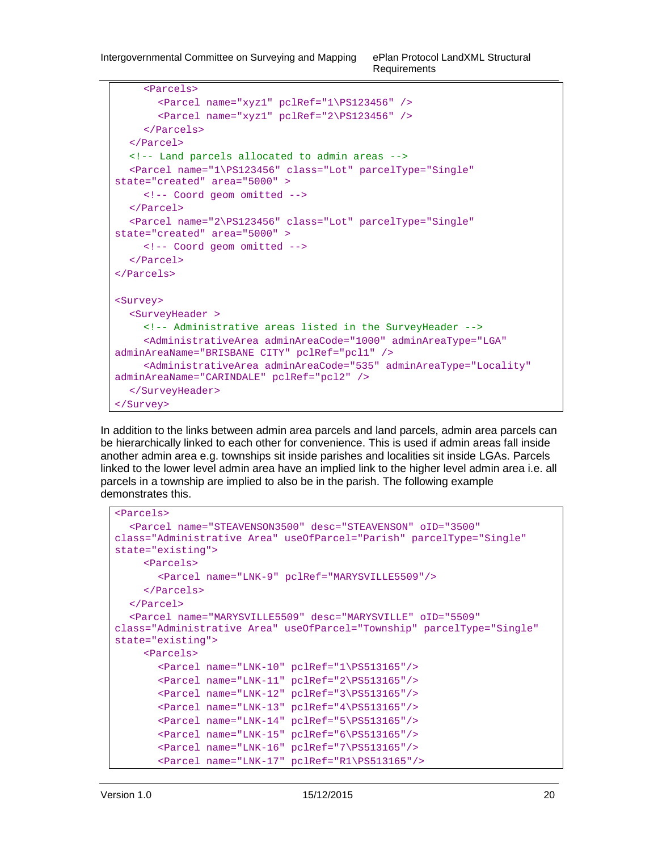```
 <Parcels> 
        <Parcel name="xyz1" pclRef="1\PS123456" /> 
        <Parcel name="xyz1" pclRef="2\PS123456" /> 
      </Parcels> 
   </Parcel> 
  <!-- Land parcels allocated to admin areas --> 
   <Parcel name="1\PS123456" class="Lot" parcelType="Single" 
state="created" area="5000" > 
      <!-- Coord geom omitted --> 
   </Parcel> 
   <Parcel name="2\PS123456" class="Lot" parcelType="Single" 
state="created" area="5000" > 
      <!-- Coord geom omitted --> 
   </Parcel> 
</Parcels> 
<Survey> 
   <SurveyHeader > 
      <!-- Administrative areas listed in the SurveyHeader --> 
      <AdministrativeArea adminAreaCode="1000" adminAreaType="LGA" 
adminAreaName="BRISBANE CITY" pclRef="pcl1" /> 
      <AdministrativeArea adminAreaCode="535" adminAreaType="Locality" 
adminAreaName="CARINDALE" pclRef="pcl2" /> 
   </SurveyHeader> 
</Survey>
```
In addition to the links between admin area parcels and land parcels, admin area parcels can be hierarchically linked to each other for convenience. This is used if admin areas fall inside another admin area e.g. townships sit inside parishes and localities sit inside LGAs. Parcels linked to the lower level admin area have an implied link to the higher level admin area i.e. all parcels in a township are implied to also be in the parish. The following example demonstrates this.

```
<Parcels> 
   <Parcel name="STEAVENSON3500" desc="STEAVENSON" oID="3500" 
class="Administrative Area" useOfParcel="Parish" parcelType="Single" 
state="existing"> 
      <Parcels> 
        <Parcel name="LNK-9" pclRef="MARYSVILLE5509"/> 
      </Parcels> 
   </Parcel> 
   <Parcel name="MARYSVILLE5509" desc="MARYSVILLE" oID="5509" 
class="Administrative Area" useOfParcel="Township" parcelType="Single" 
state="existing"> 
      <Parcels> 
        <Parcel name="LNK-10" pclRef="1\PS513165"/> 
        <Parcel name="LNK-11" pclRef="2\PS513165"/> 
        <Parcel name="LNK-12" pclRef="3\PS513165"/> 
        <Parcel name="LNK-13" pclRef="4\PS513165"/> 
        <Parcel name="LNK-14" pclRef="5\PS513165"/> 
        <Parcel name="LNK-15" pclRef="6\PS513165"/> 
        <Parcel name="LNK-16" pclRef="7\PS513165"/> 
        <Parcel name="LNK-17" pclRef="R1\PS513165"/>
```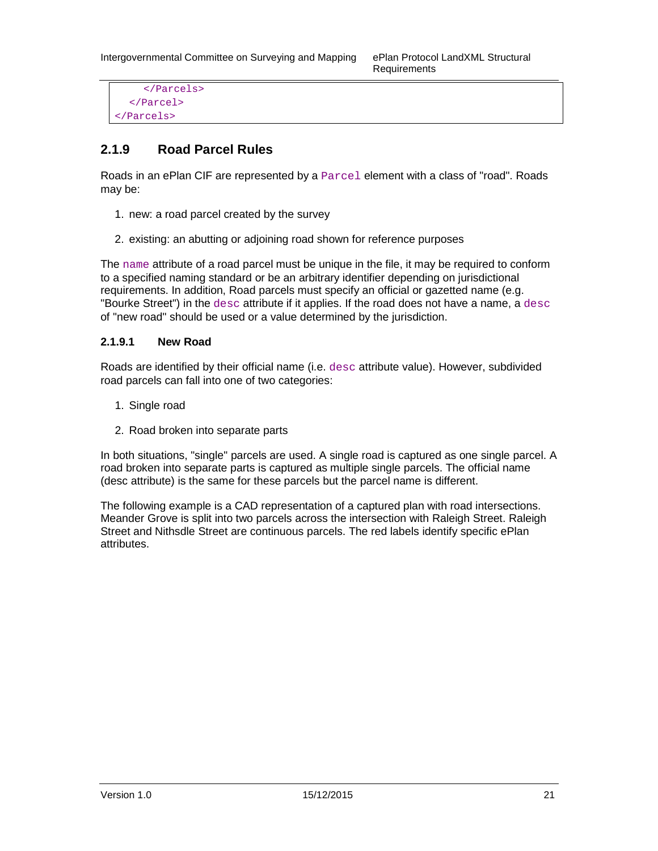Requirements

```
 </Parcels> 
   </Parcel> 
</Parcels>
```
## **2.1.9 Road Parcel Rules**

Roads in an ePlan CIF are represented by a  $P$  *excess* element with a class of "road". *R R coads*may be:

- 1. new: a road parcel created by the survey
- 2. existing: an abutting or adjoining road shown for reference purposes

The name attribute of a road parcel must be unique in the file, it may be required to conform to a specified naming standard or be an arbitrary identifier depending on jurisdictional requirements. In addition, Road parcels must specify an official or gazetted name (e.g. "Bourke Street") in the desc attribute if it applies. If the road does not have a name, a desc of "new road" should be used or a value determined by the jurisdiction.

#### **2.1.9.1 New Road**

Roads are identified by their official name (i.e. desc attribute value). However, subdivided road parcels can fall into one of two categories:

- 1. Single road
- 2. Road broken into separate parts

In both situations, "single" parcels are used. A single road is captured as one single parcel. A road broken into separate parts is captured as multiple single parcels. The official name (desc attribute) is the same for these parcels but the parcel name is different.

The following example is a CAD representation of a captured plan with road intersections. Meander Grove is split into two parcels across the intersection with Raleigh Street. Raleigh Street and Nithsdle Street are continuous parcels. The red labels identify specific ePlan attributes.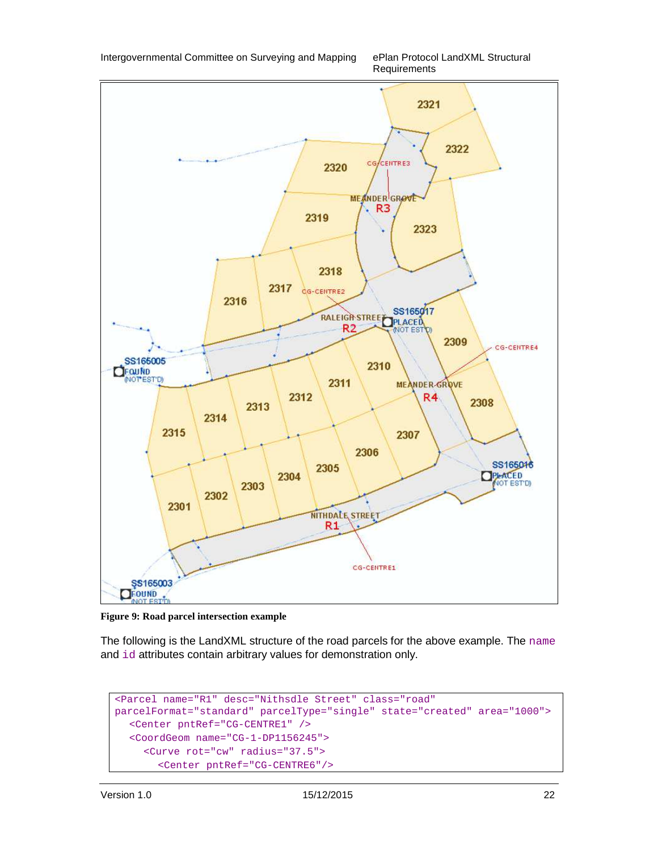![](_page_24_Figure_0.jpeg)

Requirements

![](_page_24_Figure_2.jpeg)

**Figure 9: Road parcel intersection example**

The following is the LandXML structure of the road parcels for the above example. The name and id attributes contain arbitrary values for demonstration only.

```
<Parcel name="R1" desc="Nithsdle Street" class="road" 
parcelFormat="standard" parcelType="single" state="created" area="1000"> 
   <Center pntRef="CG-CENTRE1" /> 
   <CoordGeom name="CG-1-DP1156245"> 
      <Curve rot="cw" radius="37.5"> 
        <Center pntRef="CG-CENTRE6"/>
```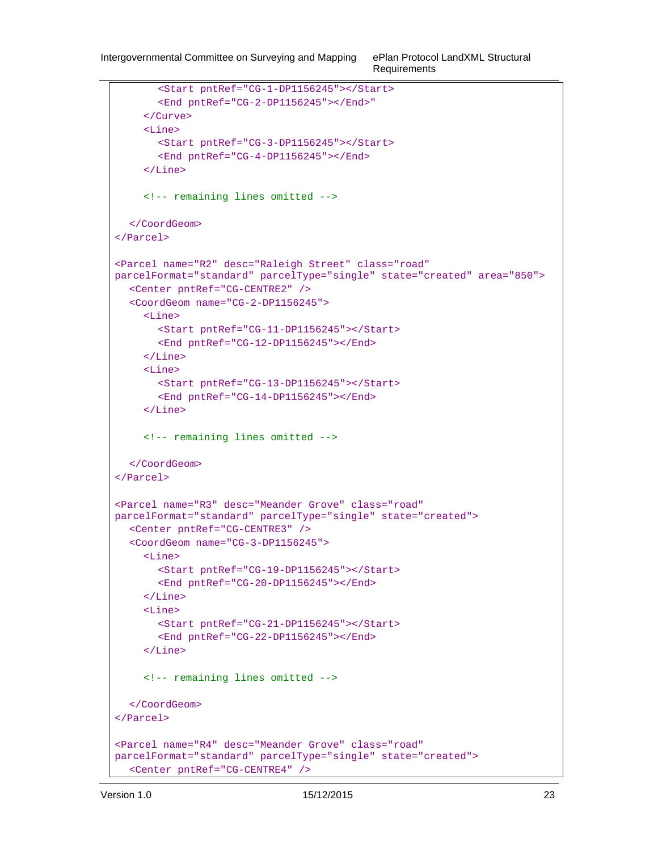```
 <Start pntRef="CG-1-DP1156245"></Start> 
        <End pntRef="CG-2-DP1156245"></End>" 
      </Curve> 
      <Line> 
        <Start pntRef="CG-3-DP1156245"></Start> 
        <End pntRef="CG-4-DP1156245"></End> 
      </Line> 
      <!-- remaining lines omitted --> 
   </CoordGeom> 
</Parcel> 
<Parcel name="R2" desc="Raleigh Street" class="road" 
parcelFormat="standard" parcelType="single" state="created" area="850"> 
   <Center pntRef="CG-CENTRE2" /> 
   <CoordGeom name="CG-2-DP1156245"> 
     \langleLine>
        <Start pntRef="CG-11-DP1156245"></Start> 
        <End pntRef="CG-12-DP1156245"></End> 
      </Line> 
     \epsilonLines
        <Start pntRef="CG-13-DP1156245"></Start> 
        <End pntRef="CG-14-DP1156245"></End> 
      </Line> 
      <!-- remaining lines omitted --> 
   </CoordGeom> 
</Parcel> 
<Parcel name="R3" desc="Meander Grove" class="road"
parcelFormat="standard" parcelType="single" state="created"> 
   <Center pntRef="CG-CENTRE3" /> 
   <CoordGeom name="CG-3-DP1156245"> 
      <Line> 
        <Start pntRef="CG-19-DP1156245"></Start> 
        <End pntRef="CG-20-DP1156245"></End> 
      </Line> 
      <Line> 
        <Start pntRef="CG-21-DP1156245"></Start> 
        <End pntRef="CG-22-DP1156245"></End> 
     \langleLine>
      <!-- remaining lines omitted --> 
   </CoordGeom> 
</Parcel> 
<Parcel name="R4" desc="Meander Grove" class="road"
parcelFormat="standard" parcelType="single" state="created"> 
   <Center pntRef="CG-CENTRE4" />
```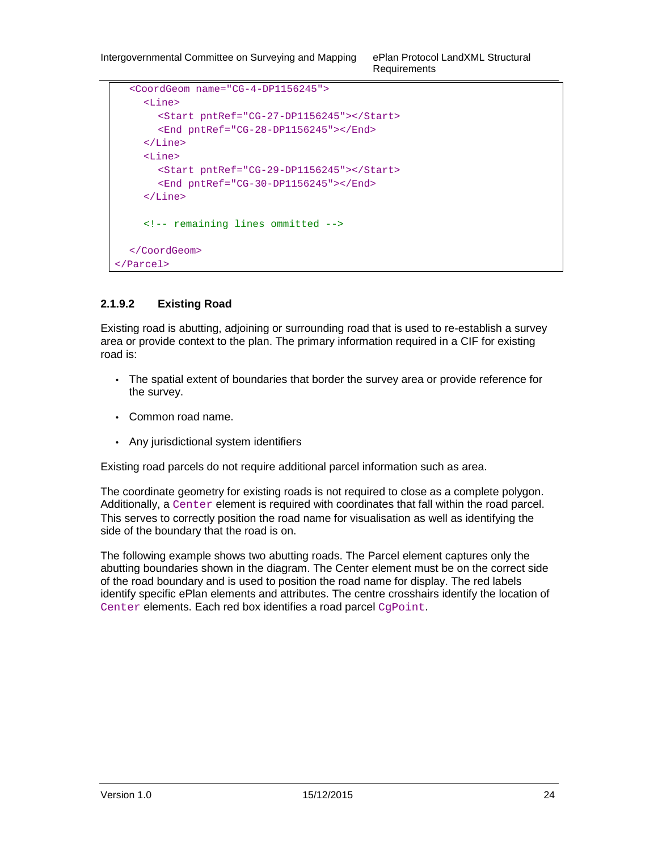```
 <CoordGeom name="CG-4-DP1156245"> 
      <Line> 
        <Start pntRef="CG-27-DP1156245"></Start> 
        <End pntRef="CG-28-DP1156245"></End> 
     </Line> 
     <Line> 
        <Start pntRef="CG-29-DP1156245"></Start> 
        <End pntRef="CG-30-DP1156245"></End> 
      </Line> 
     <!-- remaining lines ommitted --> 
   </CoordGeom> 
</Parcel>
```
#### **2.1.9.2 Existing Road**

Existing road is abutting, adjoining or surrounding road that is used to re-establish a survey area or provide context to the plan. The primary information required in a CIF for existing road is:

- The spatial extent of boundaries that border the survey area or provide reference for the survey.
- Common road name.
- Any jurisdictional system identifiers

Existing road parcels do not require additional parcel information such as area.

The coordinate geometry for existing roads is not required to close as a complete polygon. Additionally, a Center element is required with coordinates that fall within the road parcel. This serves to correctly position the road name for visualisation as well as identifying the side of the boundary that the road is on.

The following example shows two abutting roads. The Parcel element captures only the abutting boundaries shown in the diagram. The Center element must be on the correct side of the road boundary and is used to position the road name for display. The red labels identify specific ePlan elements and attributes. The centre crosshairs identify the location of Center elements. Each red box identifies a road parcel CqPoint.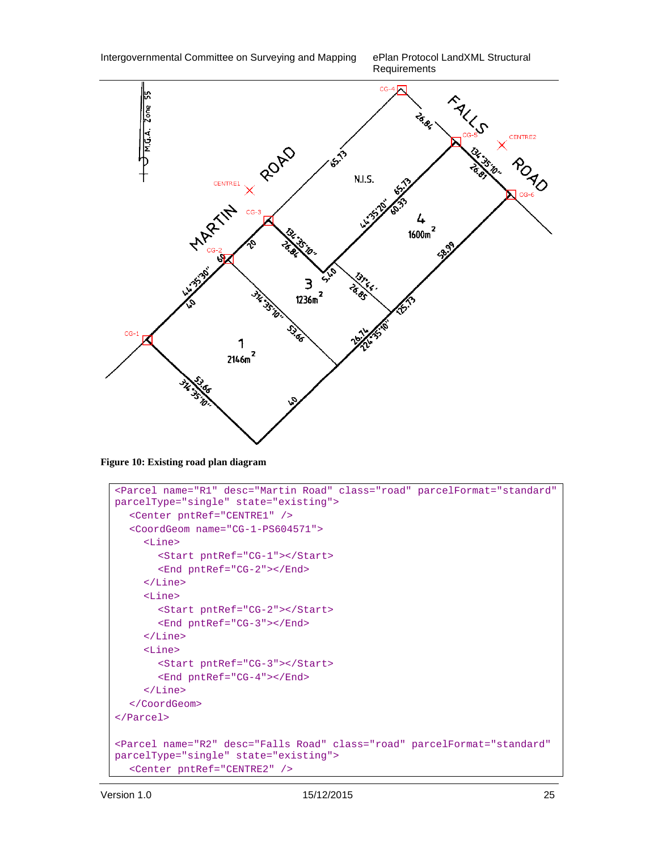Requirements

![](_page_27_Figure_2.jpeg)

**Figure 10: Existing road plan diagram** 

```
<Parcel name="R1" desc="Martin Road" class="road" parcelFormat="standard" 
parcelType="single" state="existing"> 
   <Center pntRef="CENTRE1" /> 
   <CoordGeom name="CG-1-PS604571"> 
      <Line> 
        <Start pntRef="CG-1"></Start> 
        <End pntRef="CG-2"></End> 
      </Line> 
      <Line> 
        <Start pntRef="CG-2"></Start> 
        <End pntRef="CG-3"></End> 
      </Line> 
      <Line> 
        <Start pntRef="CG-3"></Start> 
        <End pntRef="CG-4"></End> 
      </Line> 
   </CoordGeom> 
</Parcel> 
<Parcel name="R2" desc="Falls Road" class="road" parcelFormat="standard" 
parcelType="single" state="existing"> 
   <Center pntRef="CENTRE2" />
```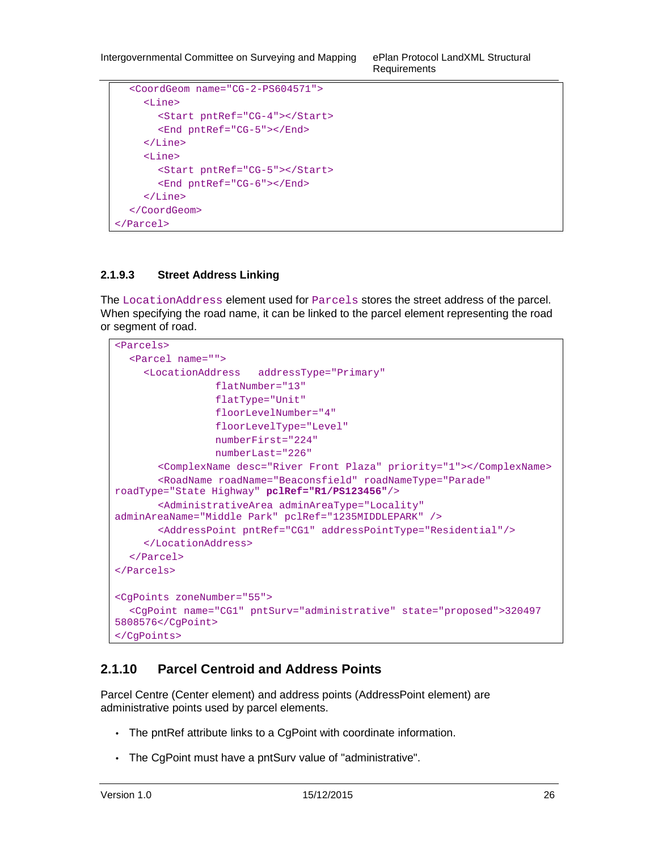```
 <CoordGeom name="CG-2-PS604571"> 
      <Line> 
         <Start pntRef="CG-4"></Start> 
         <End pntRef="CG-5"></End> 
      </Line> 
      <Line> 
         <Start pntRef="CG-5"></Start> 
         <End pntRef="CG-6"></End> 
     \langleLine>
   </CoordGeom> 
</Parcel>
```
#### **2.1.9.3 Street Address Linking**

The LocationAddress element used for Parcels stores the street address of the parcel. When specifying the road name, it can be linked to the parcel element representing the road or segment of road.

```
<Parcels> 
   <Parcel name=""> 
      <LocationAddress addressType="Primary" 
                  flatNumber="13" 
                  flatType="Unit" 
                  floorLevelNumber="4" 
                  floorLevelType="Level" 
                  numberFirst="224" 
                  numberLast="226" 
        <ComplexName desc="River Front Plaza" priority="1"></ComplexName> 
        <RoadName roadName="Beaconsfield" roadNameType="Parade" 
roadType="State Highway" pclRef="R1/PS123456"/> 
        <AdministrativeArea adminAreaType="Locality" 
adminAreaName="Middle Park" pclRef="1235MIDDLEPARK" /> 
        <AddressPoint pntRef="CG1" addressPointType="Residential"/> 
      </LocationAddress> 
   </Parcel> 
</Parcels> 
<CgPoints zoneNumber="55"> 
   <CgPoint name="CG1" pntSurv="administrative" state="proposed">320497 
5808576</CgPoint> 
</CgPoints>
```
## **2.1.10 Parcel Centroid and Address Points**

Parcel Centre (Center element) and address points (AddressPoint element) are administrative points used by parcel elements.

- The pntRef attribute links to a CgPoint with coordinate information.
- The CgPoint must have a pntSurv value of "administrative".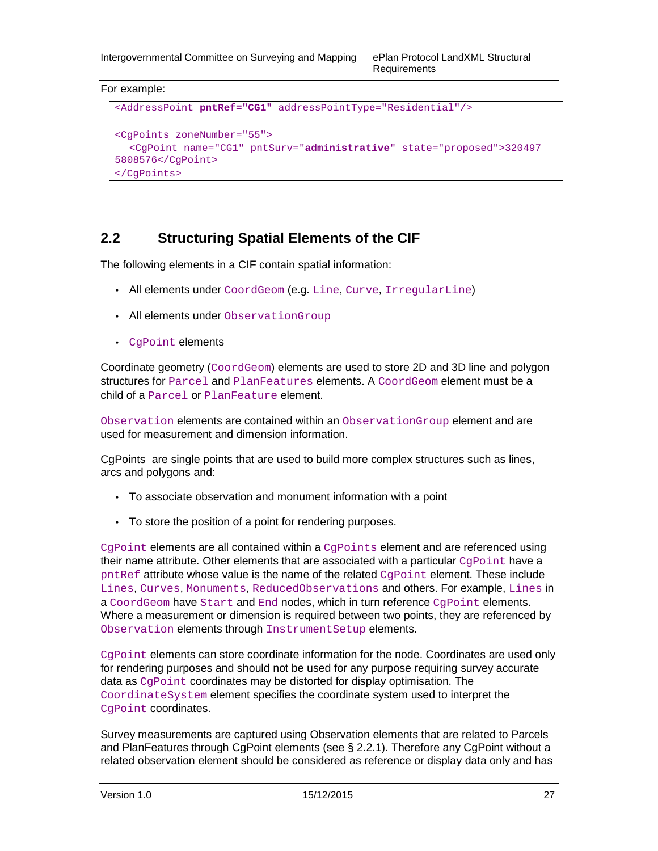#### For example:

```
<AddressPoint pntRef="CG1" addressPointType="Residential"/> 
<CgPoints zoneNumber="55"> 
   <CgPoint name="CG1" pntSurv="administrative" state="proposed">320497 
5808576</CgPoint> 
</CgPoints>
```
## **2.2 Structuring Spatial Elements of the CIF**

The following elements in a CIF contain spatial information:

- All elements under CoordGeom (e.g. Line, Curve, IrregularLine)
- All elements under ObservationGroup
- CgPoint elements

Coordinate geometry (CoordGeom) elements are used to store 2D and 3D line and polygon structures for Parcel and PlanFeatures elements. A CoordGeom element must be a child of a Parcel or PlanFeature element.

Observation elements are contained within an ObservationGroup element and are used for measurement and dimension information.

CgPoints are single points that are used to build more complex structures such as lines, arcs and polygons and:

- To associate observation and monument information with a point
- To store the position of a point for rendering purposes.

 $CgPoint$  elements are all contained within a  $CgPoint$ s element and are referenced using their name attribute. Other elements that are associated with a particular CgPoint have a  $pntRef$  attribute whose value is the name of the related  $CqPoint$  element. These include Lines, Curves, Monuments, ReducedObservations and others. For example, Lines in a CoordGeom have Start and End nodes, which in turn reference CqPoint elements. Where a measurement or dimension is required between two points, they are referenced by Observation elements through InstrumentSetup elements.

 $CqPoint$  elements can store coordinate information for the node. Coordinates are used only for rendering purposes and should not be used for any purpose requiring survey accurate data as CgPoint coordinates may be distorted for display optimisation. The CoordinateSystem element specifies the coordinate system used to interpret the CgPoint coordinates.

Survey measurements are captured using Observation elements that are related to Parcels and PlanFeatures through CgPoint elements (see § 2.2.1). Therefore any CgPoint without a related observation element should be considered as reference or display data only and has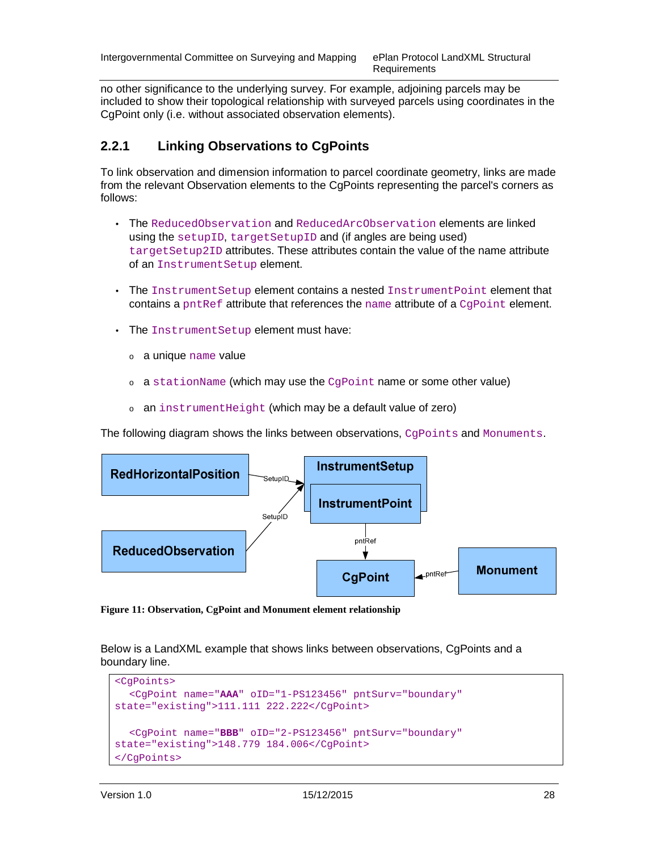no other significance to the underlying survey. For example, adjoining parcels may be included to show their topological relationship with surveyed parcels using coordinates in the CgPoint only (i.e. without associated observation elements).

## **2.2.1 Linking Observations to CgPoints**

To link observation and dimension information to parcel coordinate geometry, links are made from the relevant Observation elements to the CgPoints representing the parcel's corners as follows:

- The ReducedObservation and ReducedArcObservation elements are linked using the setupID, targetSetupID and (if angles are being used) targetSetup2ID attributes. These attributes contain the value of the name attribute of an InstrumentSetup element.
- The InstrumentSetup element contains a nested InstrumentPoint element that contains a pntRef attribute that references the name attribute of a  $Capoint$  element.
- The InstrumentSetup element must have:
	- <sup>o</sup> a unique name value
	- $\circ$  a station Name (which may use the CqPoint name or some other value)
	- <sup>o</sup> an instrumentHeight (which may be a default value of zero)

The following diagram shows the links between observations, CgPoints and Monuments.

![](_page_30_Figure_12.jpeg)

**Figure 11: Observation, CgPoint and Monument element relationship** 

Below is a LandXML example that shows links between observations, CgPoints and a boundary line.

```
<CgPoints> 
   <CgPoint name="AAA" oID="1-PS123456" pntSurv="boundary" 
state="existing">111.111 222.222</CgPoint> 
   <CgPoint name="BBB" oID="2-PS123456" pntSurv="boundary" 
state="existing">148.779 184.006</CgPoint> 
</CgPoints>
```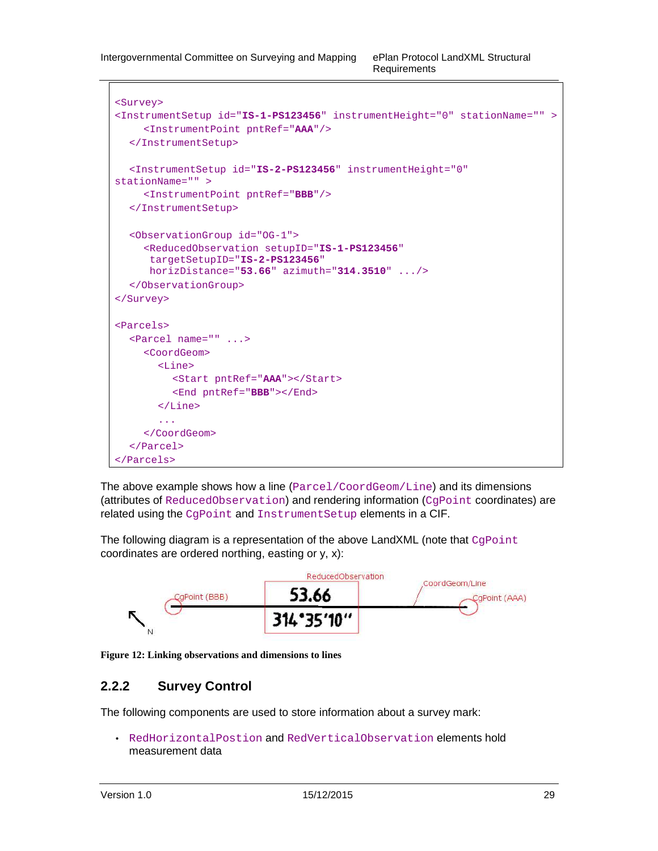```
<Survey> 
<InstrumentSetup id="IS-1-PS123456" instrumentHeight="0" stationName="" > 
      <InstrumentPoint pntRef="AAA"/> 
   </InstrumentSetup> 
   <InstrumentSetup id="IS-2-PS123456" instrumentHeight="0" 
stationName="" > 
      <InstrumentPoint pntRef="BBB"/> 
   </InstrumentSetup> 
   <ObservationGroup id="OG-1"> 
      <ReducedObservation setupID="IS-1-PS123456" 
       targetSetupID="IS-2-PS123456" 
       horizDistance="53.66" azimuth="314.3510" .../> 
   </ObservationGroup> 
</Survey> 
<Parcels> 
   <Parcel name="" ...> 
      <CoordGeom> 
        <Line> 
           <Start pntRef="AAA"></Start> 
           <End pntRef="BBB"></End> 
        </Line> 
         ... 
      </CoordGeom> 
   </Parcel> 
</Parcels>
```
The above example shows how a line (Parcel/CoordGeom/Line) and its dimensions (attributes of ReducedObservation) and rendering information (CgPoint coordinates) are related using the CgPoint and InstrumentSetup elements in a CIF.

The following diagram is a representation of the above LandXML (note that  $CgPoint$ coordinates are ordered northing, easting or y, x):

![](_page_31_Figure_5.jpeg)

**Figure 12: Linking observations and dimensions to lines** 

## **2.2.2 Survey Control**

The following components are used to store information about a survey mark:

• RedHorizontalPostion and RedVerticalObservation elements hold measurement data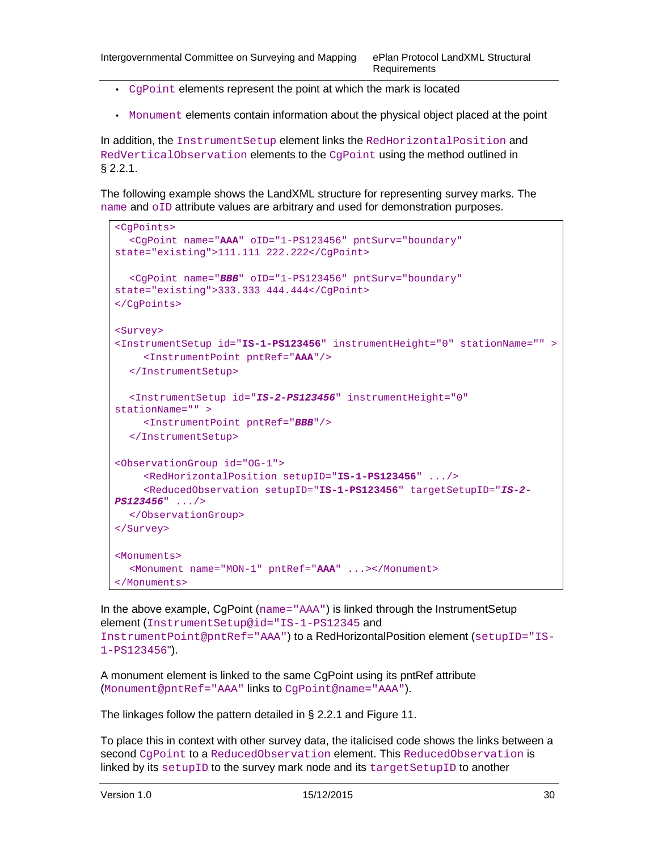- CgPoint elements represent the point at which the mark is located
- Monument elements contain information about the physical object placed at the point

In addition, the InstrumentSetup element links the RedHorizontalPosition and RedVerticalObservation elements to the CgPoint using the method outlined in § 2.2.1.

The following example shows the LandXML structure for representing survey marks. The name and oID attribute values are arbitrary and used for demonstration purposes.

```
<CgPoints> 
   <CgPoint name="AAA" oID="1-PS123456" pntSurv="boundary" 
state="existing">111.111 222.222</CgPoint> 
   <CgPoint name="BBB" oID="1-PS123456" pntSurv="boundary" 
state="existing">333.333 444.444</CgPoint> 
</CgPoints> 
<Survey> 
<InstrumentSetup id="IS-1-PS123456" instrumentHeight="0" stationName="" > 
      <InstrumentPoint pntRef="AAA"/> 
   </InstrumentSetup> 
   <InstrumentSetup id="IS-2-PS123456" instrumentHeight="0" 
stationName="" > 
      <InstrumentPoint pntRef="BBB"/> 
   </InstrumentSetup> 
<ObservationGroup id="OG-1"> 
      <RedHorizontalPosition setupID="IS-1-PS123456" .../> 
      <ReducedObservation setupID="IS-1-PS123456" targetSetupID="IS-2-
PS123456" .../> 
   </ObservationGroup> 
</Survey> 
<Monuments> 
   <Monument name="MON-1" pntRef="AAA" ...></Monument> 
</Monuments>
```
In the above example, CgPoint (name="AAA") is linked through the InstrumentSetup element (InstrumentSetup@id="IS-1-PS12345 and InstrumentPoint@pntRef="AAA") to a RedHorizontalPosition element (setupID="IS-1-PS123456").

A monument element is linked to the same CgPoint using its pntRef attribute (Monument@pntRef="AAA" links to CgPoint@name="AAA").

The linkages follow the pattern detailed in § 2.2.1 and Figure 11.

To place this in context with other survey data, the italicised code shows the links between a second CqPoint to a ReducedObservation element. This ReducedObservation is linked by its setupID to the survey mark node and its targetSetupID to another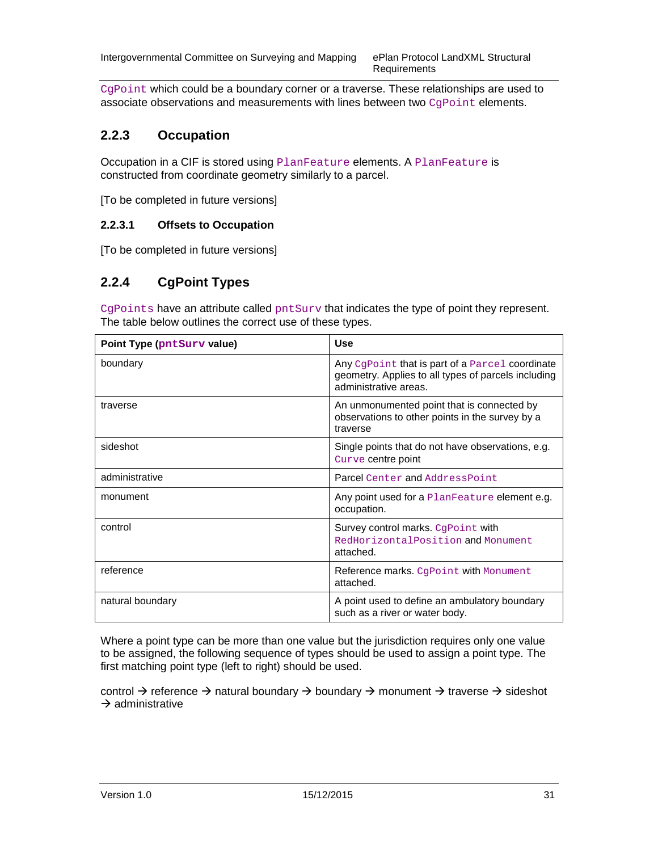Requirements

CgPoint which could be a boundary corner or a traverse. These relationships are used to associate observations and measurements with lines between two CqPoint elements.

### **2.2.3 Occupation**

Occupation in a CIF is stored using PlanFeature elements. A PlanFeature is constructed from coordinate geometry similarly to a parcel.

[To be completed in future versions]

#### **2.2.3.1 Offsets to Occupation**

[To be completed in future versions]

#### **2.2.4 CgPoint Types**

CgPoints have an attribute called pntSurv that indicates the type of point they represent. The table below outlines the correct use of these types.

| Point Type (pntSurv value) | <b>Use</b>                                                                                                                       |
|----------------------------|----------------------------------------------------------------------------------------------------------------------------------|
| boundary                   | Any Coppoint that is part of a Parcel coordinate<br>geometry. Applies to all types of parcels including<br>administrative areas. |
| traverse                   | An unmonumented point that is connected by<br>observations to other points in the survey by a<br>traverse                        |
| sideshot                   | Single points that do not have observations, e.g.<br>Curve centre point                                                          |
| administrative             | Parcel Center and AddressPoint                                                                                                   |
| monument                   | Any point used for a PlanFeature element e.g.<br>occupation.                                                                     |
| control                    | Survey control marks. CgPoint with<br>RedHorizontalPosition and Monument<br>attached.                                            |
| reference                  | Reference marks. CgPoint with Monument<br>attached.                                                                              |
| natural boundary           | A point used to define an ambulatory boundary<br>such as a river or water body.                                                  |

Where a point type can be more than one value but the jurisdiction requires only one value to be assigned, the following sequence of types should be used to assign a point type. The first matching point type (left to right) should be used.

control  $\rightarrow$  reference  $\rightarrow$  natural boundary  $\rightarrow$  boundary  $\rightarrow$  monument  $\rightarrow$  traverse  $\rightarrow$  sideshot  $\rightarrow$  administrative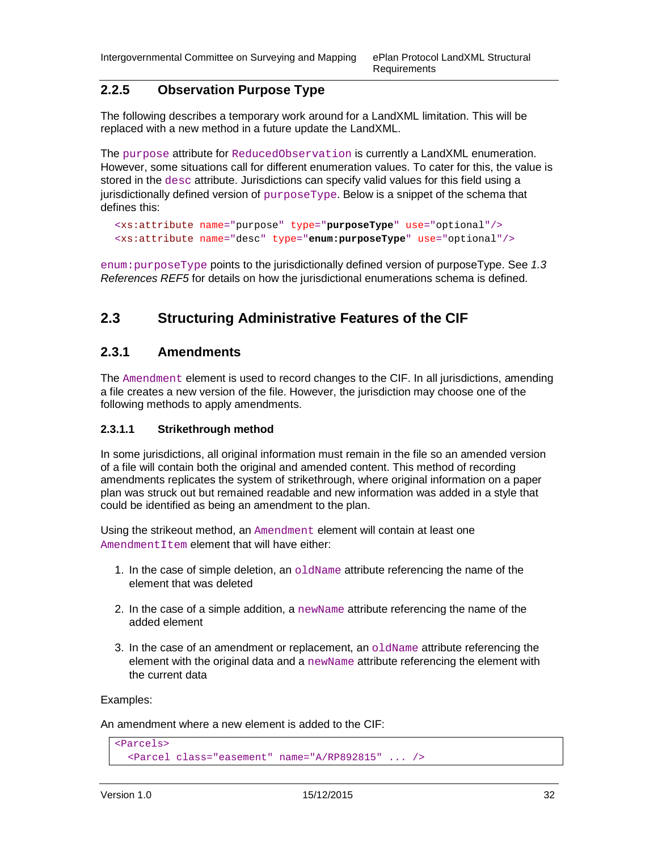### **2.2.5 Observation Purpose Type**

The following describes a temporary work around for a LandXML limitation. This will be replaced with a new method in a future update the LandXML.

The purpose attribute for ReducedObservation is currently a LandXML enumeration. However, some situations call for different enumeration values. To cater for this, the value is stored in the desc attribute. Jurisdictions can specify valid values for this field using a jurisdictionally defined version of  $\text{purposeType}$ . Below is a snippet of the schema that defines this:

```
<xs:attribute name="purpose" type="purposeType" use="optional"/> 
<xs:attribute name="desc" type="enum:purposeType" use="optional"/>
```
 $enum:pure$  points to the jurisdictionally defined version of purposeType. See 1.3 References REF5 for details on how the jurisdictional enumerations schema is defined.

## **2.3 Structuring Administrative Features of the CIF**

#### **2.3.1 Amendments**

The Amendment element is used to record changes to the CIF. In all jurisdictions, amending a file creates a new version of the file. However, the jurisdiction may choose one of the following methods to apply amendments.

#### **2.3.1.1 Strikethrough method**

In some jurisdictions, all original information must remain in the file so an amended version of a file will contain both the original and amended content. This method of recording amendments replicates the system of strikethrough, where original information on a paper plan was struck out but remained readable and new information was added in a style that could be identified as being an amendment to the plan.

Using the strikeout method, an Amendment element will contain at least one AmendmentItem element that will have either:

- 1. In the case of simple deletion, an  $\circ$ 1dName attribute referencing the name of the element that was deleted
- 2. In the case of a simple addition, a newName attribute referencing the name of the added element
- 3. In the case of an amendment or replacement, an  $\circ$ 1 dName attribute referencing the element with the original data and a newName attribute referencing the element with the current data

Examples:

An amendment where a new element is added to the CIF:

```
<Parcels> 
   <Parcel class="easement" name="A/RP892815" ... />
```